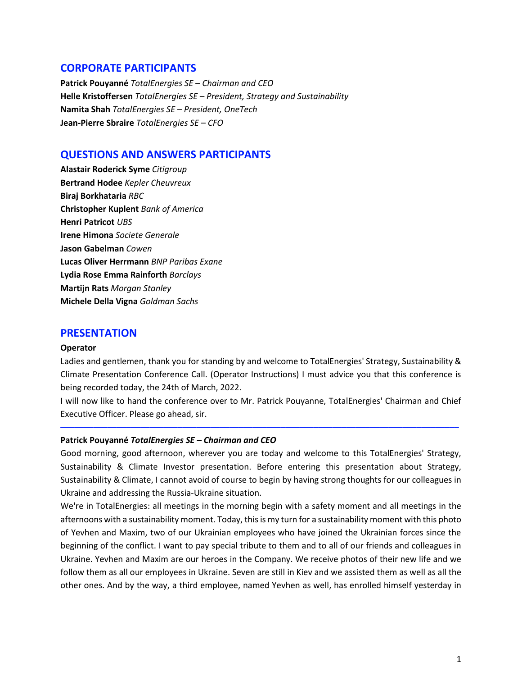# **CORPORATE PARTICIPANTS**

**Patrick Pouyanné** *TotalEnergies SE – Chairman and CEO* **Helle Kristoffersen** *TotalEnergies SE – President, Strategy and Sustainability* **Namita Shah** *TotalEnergies SE – President, OneTech* **Jean-Pierre Sbraire** *TotalEnergies SE – CFO*

# **QUESTIONS AND ANSWERS PARTICIPANTS**

**Alastair Roderick Syme** *Citigroup* **Bertrand Hodee** *Kepler Cheuvreux* **Biraj Borkhataria** *RBC* **Christopher Kuplent** *Bank of America* **Henri Patricot** *UBS* **Irene Himona** *Societe Generale* **Jason Gabelman** *Cowen* **Lucas Oliver Herrmann** *BNP Paribas Exane* **Lydia Rose Emma Rainforth** *Barclays* **Martijn Rats** *Morgan Stanley* **Michele Della Vigna** *Goldman Sachs*

# **PRESENTATION**

#### **Operator**

Ladies and gentlemen, thank you for standing by and welcome to TotalEnergies' Strategy, Sustainability & Climate Presentation Conference Call. (Operator Instructions) I must advice you that this conference is being recorded today, the 24th of March, 2022.

I will now like to hand the conference over to Mr. Patrick Pouyanne, TotalEnergies' Chairman and Chief Executive Officer. Please go ahead, sir.

─────────────────────────────────────────────────────────────────────────────────────

#### **Patrick Pouyanné** *TotalEnergies SE – Chairman and CEO*

Good morning, good afternoon, wherever you are today and welcome to this TotalEnergies' Strategy, Sustainability & Climate Investor presentation. Before entering this presentation about Strategy, Sustainability & Climate, I cannot avoid of course to begin by having strong thoughts for our colleagues in Ukraine and addressing the Russia-Ukraine situation.

We're in TotalEnergies: all meetings in the morning begin with a safety moment and all meetings in the afternoons with a sustainability moment. Today, this is my turn for a sustainability moment with this photo of Yevhen and Maxim, two of our Ukrainian employees who have joined the Ukrainian forces since the beginning of the conflict. I want to pay special tribute to them and to all of our friends and colleagues in Ukraine. Yevhen and Maxim are our heroes in the Company. We receive photos of their new life and we follow them as all our employees in Ukraine. Seven are still in Kiev and we assisted them as well as all the other ones. And by the way, a third employee, named Yevhen as well, has enrolled himself yesterday in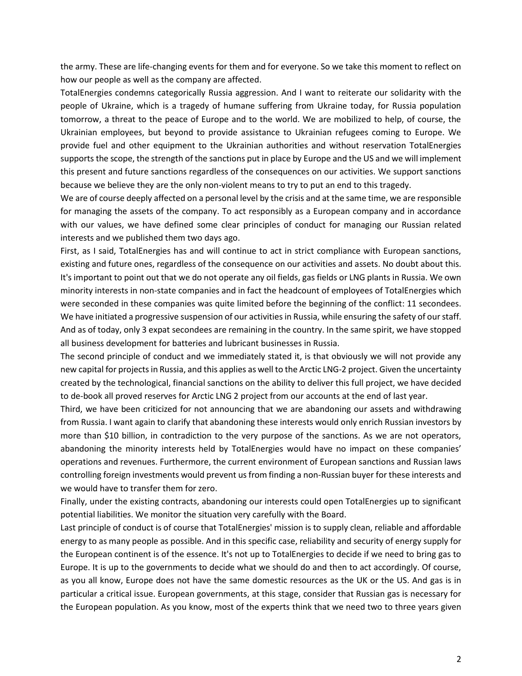the army. These are life-changing events for them and for everyone. So we take this moment to reflect on how our people as well as the company are affected.

TotalEnergies condemns categorically Russia aggression. And I want to reiterate our solidarity with the people of Ukraine, which is a tragedy of humane suffering from Ukraine today, for Russia population tomorrow, a threat to the peace of Europe and to the world. We are mobilized to help, of course, the Ukrainian employees, but beyond to provide assistance to Ukrainian refugees coming to Europe. We provide fuel and other equipment to the Ukrainian authorities and without reservation TotalEnergies supports the scope, the strength of the sanctions put in place by Europe and the US and we will implement this present and future sanctions regardless of the consequences on our activities. We support sanctions because we believe they are the only non-violent means to try to put an end to this tragedy.

We are of course deeply affected on a personal level by the crisis and at the same time, we are responsible for managing the assets of the company. To act responsibly as a European company and in accordance with our values, we have defined some clear principles of conduct for managing our Russian related interests and we published them two days ago.

First, as I said, TotalEnergies has and will continue to act in strict compliance with European sanctions, existing and future ones, regardless of the consequence on our activities and assets. No doubt about this. It's important to point out that we do not operate any oil fields, gas fields or LNG plants in Russia. We own minority interests in non-state companies and in fact the headcount of employees of TotalEnergies which were seconded in these companies was quite limited before the beginning of the conflict: 11 secondees. We have initiated a progressive suspension of our activities in Russia, while ensuring the safety of our staff. And as of today, only 3 expat secondees are remaining in the country. In the same spirit, we have stopped all business development for batteries and lubricant businesses in Russia.

The second principle of conduct and we immediately stated it, is that obviously we will not provide any new capital for projects in Russia, and this applies as well to the Arctic LNG-2 project. Given the uncertainty created by the technological, financial sanctions on the ability to deliver this full project, we have decided to de-book all proved reserves for Arctic LNG 2 project from our accounts at the end of last year.

Third, we have been criticized for not announcing that we are abandoning our assets and withdrawing from Russia. I want again to clarify that abandoning these interests would only enrich Russian investors by more than \$10 billion, in contradiction to the very purpose of the sanctions. As we are not operators, abandoning the minority interests held by TotalEnergies would have no impact on these companies' operations and revenues. Furthermore, the current environment of European sanctions and Russian laws controlling foreign investments would prevent us from finding a non-Russian buyer for these interests and we would have to transfer them for zero.

Finally, under the existing contracts, abandoning our interests could open TotalEnergies up to significant potential liabilities. We monitor the situation very carefully with the Board.

Last principle of conduct is of course that TotalEnergies' mission is to supply clean, reliable and affordable energy to as many people as possible. And in this specific case, reliability and security of energy supply for the European continent is of the essence. It's not up to TotalEnergies to decide if we need to bring gas to Europe. It is up to the governments to decide what we should do and then to act accordingly. Of course, as you all know, Europe does not have the same domestic resources as the UK or the US. And gas is in particular a critical issue. European governments, at this stage, consider that Russian gas is necessary for the European population. As you know, most of the experts think that we need two to three years given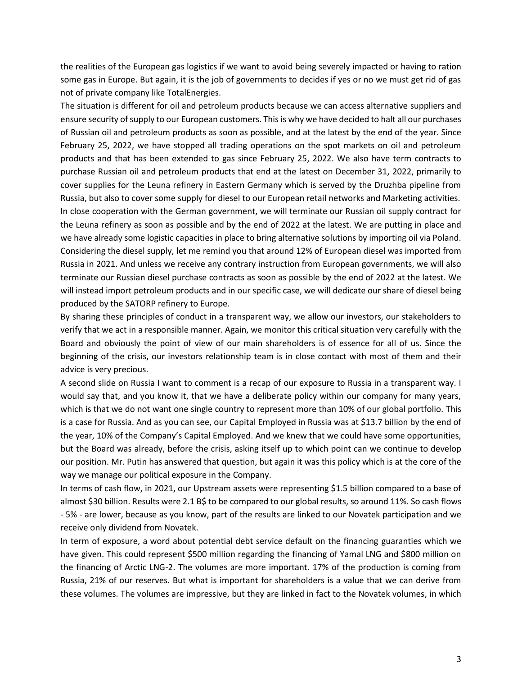the realities of the European gas logistics if we want to avoid being severely impacted or having to ration some gas in Europe. But again, it is the job of governments to decides if yes or no we must get rid of gas not of private company like TotalEnergies.

The situation is different for oil and petroleum products because we can access alternative suppliers and ensure security of supply to our European customers. This is why we have decided to halt all our purchases of Russian oil and petroleum products as soon as possible, and at the latest by the end of the year. Since February 25, 2022, we have stopped all trading operations on the spot markets on oil and petroleum products and that has been extended to gas since February 25, 2022. We also have term contracts to purchase Russian oil and petroleum products that end at the latest on December 31, 2022, primarily to cover supplies for the Leuna refinery in Eastern Germany which is served by the Druzhba pipeline from Russia, but also to cover some supply for diesel to our European retail networks and Marketing activities. In close cooperation with the German government, we will terminate our Russian oil supply contract for the Leuna refinery as soon as possible and by the end of 2022 at the latest. We are putting in place and we have already some logistic capacities in place to bring alternative solutions by importing oil via Poland. Considering the diesel supply, let me remind you that around 12% of European diesel was imported from Russia in 2021. And unless we receive any contrary instruction from European governments, we will also terminate our Russian diesel purchase contracts as soon as possible by the end of 2022 at the latest. We will instead import petroleum products and in our specific case, we will dedicate our share of diesel being produced by the SATORP refinery to Europe.

By sharing these principles of conduct in a transparent way, we allow our investors, our stakeholders to verify that we act in a responsible manner. Again, we monitor this critical situation very carefully with the Board and obviously the point of view of our main shareholders is of essence for all of us. Since the beginning of the crisis, our investors relationship team is in close contact with most of them and their advice is very precious.

A second slide on Russia I want to comment is a recap of our exposure to Russia in a transparent way. I would say that, and you know it, that we have a deliberate policy within our company for many years, which is that we do not want one single country to represent more than 10% of our global portfolio. This is a case for Russia. And as you can see, our Capital Employed in Russia was at \$13.7 billion by the end of the year, 10% of the Company's Capital Employed. And we knew that we could have some opportunities, but the Board was already, before the crisis, asking itself up to which point can we continue to develop our position. Mr. Putin has answered that question, but again it was this policy which is at the core of the way we manage our political exposure in the Company.

In terms of cash flow, in 2021, our Upstream assets were representing \$1.5 billion compared to a base of almost \$30 billion. Results were 2.1 B\$ to be compared to our global results, so around 11%. So cash flows - 5% - are lower, because as you know, part of the results are linked to our Novatek participation and we receive only dividend from Novatek.

In term of exposure, a word about potential debt service default on the financing guaranties which we have given. This could represent \$500 million regarding the financing of Yamal LNG and \$800 million on the financing of Arctic LNG-2. The volumes are more important. 17% of the production is coming from Russia, 21% of our reserves. But what is important for shareholders is a value that we can derive from these volumes. The volumes are impressive, but they are linked in fact to the Novatek volumes, in which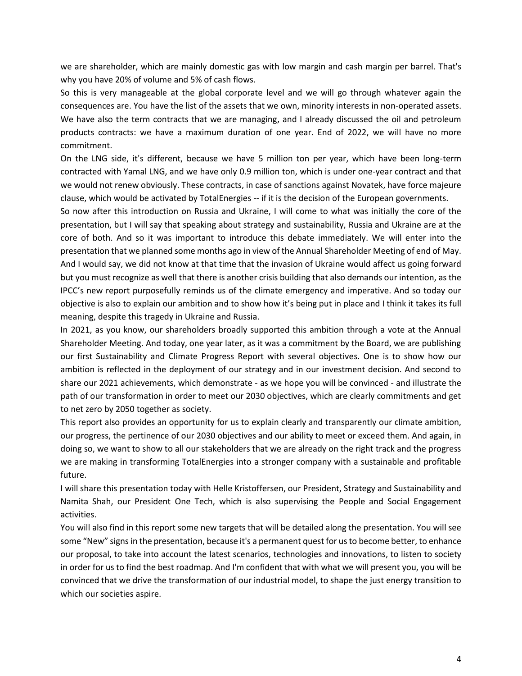we are shareholder, which are mainly domestic gas with low margin and cash margin per barrel. That's why you have 20% of volume and 5% of cash flows.

So this is very manageable at the global corporate level and we will go through whatever again the consequences are. You have the list of the assets that we own, minority interests in non-operated assets. We have also the term contracts that we are managing, and I already discussed the oil and petroleum products contracts: we have a maximum duration of one year. End of 2022, we will have no more commitment.

On the LNG side, it's different, because we have 5 million ton per year, which have been long-term contracted with Yamal LNG, and we have only 0.9 million ton, which is under one-year contract and that we would not renew obviously. These contracts, in case of sanctions against Novatek, have force majeure clause, which would be activated by TotalEnergies -- if it is the decision of the European governments.

So now after this introduction on Russia and Ukraine, I will come to what was initially the core of the presentation, but I will say that speaking about strategy and sustainability, Russia and Ukraine are at the core of both. And so it was important to introduce this debate immediately. We will enter into the presentation that we planned some months ago in view of the Annual Shareholder Meeting of end of May. And I would say, we did not know at that time that the invasion of Ukraine would affect us going forward but you must recognize as well that there is another crisis building that also demands our intention, as the IPCC's new report purposefully reminds us of the climate emergency and imperative. And so today our objective is also to explain our ambition and to show how it's being put in place and I think it takes its full meaning, despite this tragedy in Ukraine and Russia.

In 2021, as you know, our shareholders broadly supported this ambition through a vote at the Annual Shareholder Meeting. And today, one year later, as it was a commitment by the Board, we are publishing our first Sustainability and Climate Progress Report with several objectives. One is to show how our ambition is reflected in the deployment of our strategy and in our investment decision. And second to share our 2021 achievements, which demonstrate - as we hope you will be convinced - and illustrate the path of our transformation in order to meet our 2030 objectives, which are clearly commitments and get to net zero by 2050 together as society.

This report also provides an opportunity for us to explain clearly and transparently our climate ambition, our progress, the pertinence of our 2030 objectives and our ability to meet or exceed them. And again, in doing so, we want to show to all our stakeholders that we are already on the right track and the progress we are making in transforming TotalEnergies into a stronger company with a sustainable and profitable future.

I will share this presentation today with Helle Kristoffersen, our President, Strategy and Sustainability and Namita Shah, our President One Tech, which is also supervising the People and Social Engagement activities.

You will also find in this report some new targets that will be detailed along the presentation. You will see some "New" signs in the presentation, because it's a permanent quest for us to become better, to enhance our proposal, to take into account the latest scenarios, technologies and innovations, to listen to society in order for us to find the best roadmap. And I'm confident that with what we will present you, you will be convinced that we drive the transformation of our industrial model, to shape the just energy transition to which our societies aspire.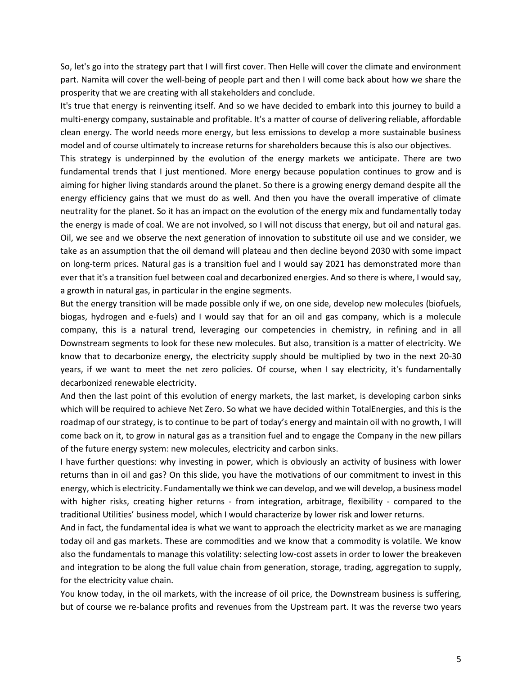So, let's go into the strategy part that I will first cover. Then Helle will cover the climate and environment part. Namita will cover the well-being of people part and then I will come back about how we share the prosperity that we are creating with all stakeholders and conclude.

It's true that energy is reinventing itself. And so we have decided to embark into this journey to build a multi-energy company, sustainable and profitable. It's a matter of course of delivering reliable, affordable clean energy. The world needs more energy, but less emissions to develop a more sustainable business model and of course ultimately to increase returns for shareholders because this is also our objectives.

This strategy is underpinned by the evolution of the energy markets we anticipate. There are two fundamental trends that I just mentioned. More energy because population continues to grow and is aiming for higher living standards around the planet. So there is a growing energy demand despite all the energy efficiency gains that we must do as well. And then you have the overall imperative of climate neutrality for the planet. So it has an impact on the evolution of the energy mix and fundamentally today the energy is made of coal. We are not involved, so I will not discuss that energy, but oil and natural gas. Oil, we see and we observe the next generation of innovation to substitute oil use and we consider, we take as an assumption that the oil demand will plateau and then decline beyond 2030 with some impact on long-term prices. Natural gas is a transition fuel and I would say 2021 has demonstrated more than ever that it's a transition fuel between coal and decarbonized energies. And so there is where, I would say, a growth in natural gas, in particular in the engine segments.

But the energy transition will be made possible only if we, on one side, develop new molecules (biofuels, biogas, hydrogen and e-fuels) and I would say that for an oil and gas company, which is a molecule company, this is a natural trend, leveraging our competencies in chemistry, in refining and in all Downstream segments to look for these new molecules. But also, transition is a matter of electricity. We know that to decarbonize energy, the electricity supply should be multiplied by two in the next 20-30 years, if we want to meet the net zero policies. Of course, when I say electricity, it's fundamentally decarbonized renewable electricity.

And then the last point of this evolution of energy markets, the last market, is developing carbon sinks which will be required to achieve Net Zero. So what we have decided within TotalEnergies, and this is the roadmap of our strategy, is to continue to be part of today's energy and maintain oil with no growth, I will come back on it, to grow in natural gas as a transition fuel and to engage the Company in the new pillars of the future energy system: new molecules, electricity and carbon sinks.

I have further questions: why investing in power, which is obviously an activity of business with lower returns than in oil and gas? On this slide, you have the motivations of our commitment to invest in this energy, which is electricity. Fundamentally we think we can develop, and we will develop, a business model with higher risks, creating higher returns - from integration, arbitrage, flexibility - compared to the traditional Utilities' business model, which I would characterize by lower risk and lower returns.

And in fact, the fundamental idea is what we want to approach the electricity market as we are managing today oil and gas markets. These are commodities and we know that a commodity is volatile. We know also the fundamentals to manage this volatility: selecting low-cost assets in order to lower the breakeven and integration to be along the full value chain from generation, storage, trading, aggregation to supply, for the electricity value chain.

You know today, in the oil markets, with the increase of oil price, the Downstream business is suffering, but of course we re-balance profits and revenues from the Upstream part. It was the reverse two years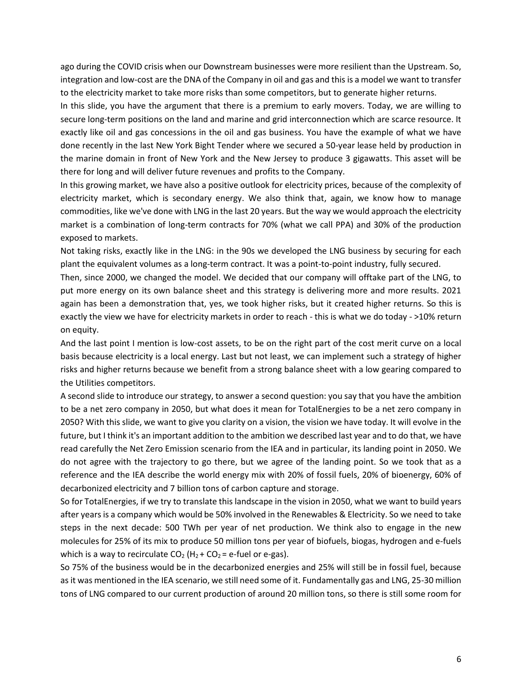ago during the COVID crisis when our Downstream businesses were more resilient than the Upstream. So, integration and low-cost are the DNA of the Company in oil and gas and this is a model we want to transfer to the electricity market to take more risks than some competitors, but to generate higher returns.

In this slide, you have the argument that there is a premium to early movers. Today, we are willing to secure long-term positions on the land and marine and grid interconnection which are scarce resource. It exactly like oil and gas concessions in the oil and gas business. You have the example of what we have done recently in the last New York Bight Tender where we secured a 50-year lease held by production in the marine domain in front of New York and the New Jersey to produce 3 gigawatts. This asset will be there for long and will deliver future revenues and profits to the Company.

In this growing market, we have also a positive outlook for electricity prices, because of the complexity of electricity market, which is secondary energy. We also think that, again, we know how to manage commodities, like we've done with LNG in the last 20 years. But the way we would approach the electricity market is a combination of long-term contracts for 70% (what we call PPA) and 30% of the production exposed to markets.

Not taking risks, exactly like in the LNG: in the 90s we developed the LNG business by securing for each plant the equivalent volumes as a long-term contract. It was a point-to-point industry, fully secured.

Then, since 2000, we changed the model. We decided that our company will offtake part of the LNG, to put more energy on its own balance sheet and this strategy is delivering more and more results. 2021 again has been a demonstration that, yes, we took higher risks, but it created higher returns. So this is exactly the view we have for electricity markets in order to reach - this is what we do today - >10% return on equity.

And the last point I mention is low-cost assets, to be on the right part of the cost merit curve on a local basis because electricity is a local energy. Last but not least, we can implement such a strategy of higher risks and higher returns because we benefit from a strong balance sheet with a low gearing compared to the Utilities competitors.

A second slide to introduce our strategy, to answer a second question: you say that you have the ambition to be a net zero company in 2050, but what does it mean for TotalEnergies to be a net zero company in 2050? With this slide, we want to give you clarity on a vision, the vision we have today. It will evolve in the future, but I think it's an important addition to the ambition we described last year and to do that, we have read carefully the Net Zero Emission scenario from the IEA and in particular, its landing point in 2050. We do not agree with the trajectory to go there, but we agree of the landing point. So we took that as a reference and the IEA describe the world energy mix with 20% of fossil fuels, 20% of bioenergy, 60% of decarbonized electricity and 7 billion tons of carbon capture and storage.

So for TotalEnergies, if we try to translate this landscape in the vision in 2050, what we want to build years after years is a company which would be 50% involved in the Renewables & Electricity. So we need to take steps in the next decade: 500 TWh per year of net production. We think also to engage in the new molecules for 25% of its mix to produce 50 million tons per year of biofuels, biogas, hydrogen and e-fuels which is a way to recirculate  $CO<sub>2</sub>$  (H<sub>2</sub> +  $CO<sub>2</sub>$  = e-fuel or e-gas).

So 75% of the business would be in the decarbonized energies and 25% will still be in fossil fuel, because as it was mentioned in the IEA scenario, we still need some of it. Fundamentally gas and LNG, 25-30 million tons of LNG compared to our current production of around 20 million tons, so there is still some room for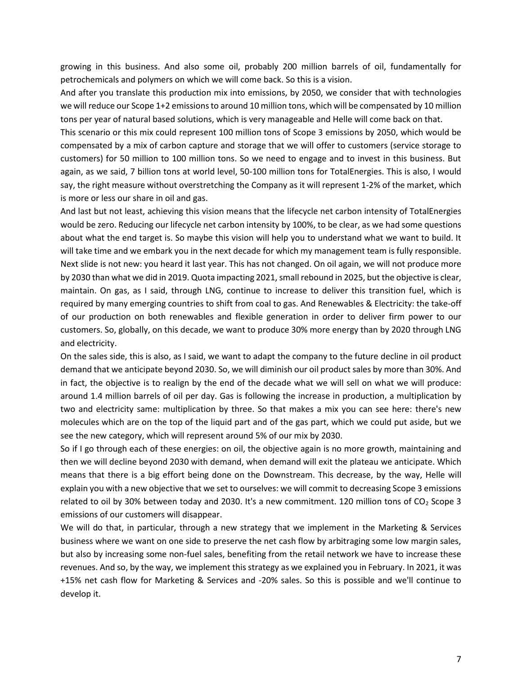growing in this business. And also some oil, probably 200 million barrels of oil, fundamentally for petrochemicals and polymers on which we will come back. So this is a vision.

And after you translate this production mix into emissions, by 2050, we consider that with technologies we will reduce our Scope 1+2 emissions to around 10 million tons, which will be compensated by 10 million tons per year of natural based solutions, which is very manageable and Helle will come back on that.

This scenario or this mix could represent 100 million tons of Scope 3 emissions by 2050, which would be compensated by a mix of carbon capture and storage that we will offer to customers (service storage to customers) for 50 million to 100 million tons. So we need to engage and to invest in this business. But again, as we said, 7 billion tons at world level, 50-100 million tons for TotalEnergies. This is also, I would say, the right measure without overstretching the Company as it will represent 1-2% of the market, which is more or less our share in oil and gas.

And last but not least, achieving this vision means that the lifecycle net carbon intensity of TotalEnergies would be zero. Reducing our lifecycle net carbon intensity by 100%, to be clear, as we had some questions about what the end target is. So maybe this vision will help you to understand what we want to build. It will take time and we embark you in the next decade for which my management team is fully responsible. Next slide is not new: you heard it last year. This has not changed. On oil again, we will not produce more by 2030 than what we did in 2019. Quota impacting 2021, small rebound in 2025, but the objective is clear, maintain. On gas, as I said, through LNG, continue to increase to deliver this transition fuel, which is required by many emerging countries to shift from coal to gas. And Renewables & Electricity: the take-off of our production on both renewables and flexible generation in order to deliver firm power to our customers. So, globally, on this decade, we want to produce 30% more energy than by 2020 through LNG and electricity.

On the sales side, this is also, as I said, we want to adapt the company to the future decline in oil product demand that we anticipate beyond 2030. So, we will diminish our oil product sales by more than 30%. And in fact, the objective is to realign by the end of the decade what we will sell on what we will produce: around 1.4 million barrels of oil per day. Gas is following the increase in production, a multiplication by two and electricity same: multiplication by three. So that makes a mix you can see here: there's new molecules which are on the top of the liquid part and of the gas part, which we could put aside, but we see the new category, which will represent around 5% of our mix by 2030.

So if I go through each of these energies: on oil, the objective again is no more growth, maintaining and then we will decline beyond 2030 with demand, when demand will exit the plateau we anticipate. Which means that there is a big effort being done on the Downstream. This decrease, by the way, Helle will explain you with a new objective that we set to ourselves: we will commit to decreasing Scope 3 emissions related to oil by 30% between today and 2030. It's a new commitment. 120 million tons of CO<sub>2</sub> Scope 3 emissions of our customers will disappear.

We will do that, in particular, through a new strategy that we implement in the Marketing & Services business where we want on one side to preserve the net cash flow by arbitraging some low margin sales, but also by increasing some non-fuel sales, benefiting from the retail network we have to increase these revenues. And so, by the way, we implement this strategy as we explained you in February. In 2021, it was +15% net cash flow for Marketing & Services and -20% sales. So this is possible and we'll continue to develop it.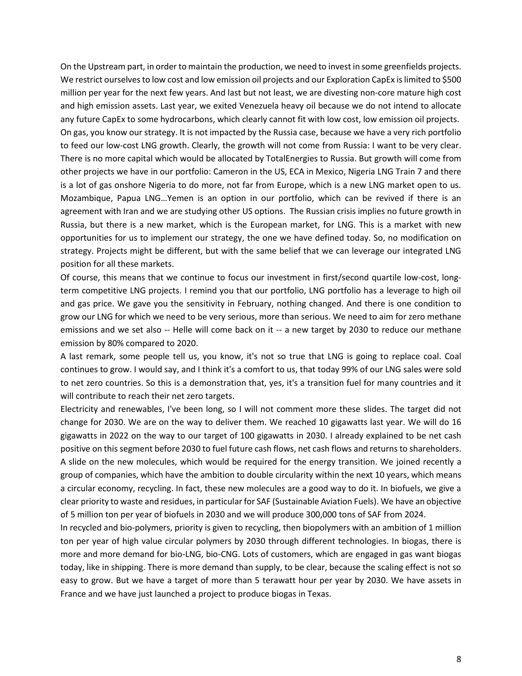On the Upstream part, in order to maintain the production, we need to invest in some greenfields projects. We restrict ourselves to low cost and low emission oil projects and our Exploration CapEx is limited to \$500 million per year for the next few years. And last but not least, we are divesting non-core mature high cost and high emission assets. Last year, we exited Venezuela heavy oil because we do not intend to allocate any future CapEx to some hydrocarbons, which clearly cannot fit with low cost, low emission oil projects. On gas, you know our strategy. It is not impacted by the Russia case, because we have a very rich portfolio to feed our low-cost LNG growth. Clearly, the growth will not come from Russia: I want to be very clear. There is no more capital which would be allocated by TotalEnergies to Russia. But growth will come from other projects we have in our portfolio: Cameron in the US, ECA in Mexico, Nigeria LNG Train 7 and there is a lot of gas onshore Nigeria to do more, not far from Europe, which is a new LNG market open to us. Mozambique, Papua LNG…Yemen is an option in our portfolio, which can be revived if there is an agreement with Iran and we are studying other US options. The Russian crisis implies no future growth in Russia, but there is a new market, which is the European market, for LNG. This is a market with new opportunities for us to implement our strategy, the one we have defined today. So, no modification on strategy. Projects might be different, but with the same belief that we can leverage our integrated LNG position for all these markets.

Of course, this means that we continue to focus our investment in first/second quartile low-cost, longterm competitive LNG projects. I remind you that our portfolio, LNG portfolio has a leverage to high oil and gas price. We gave you the sensitivity in February, nothing changed. And there is one condition to grow our LNG for which we need to be very serious, more than serious. We need to aim for zero methane emissions and we set also -- Helle will come back on it -- a new target by 2030 to reduce our methane emission by 80% compared to 2020.

A last remark, some people tell us, you know, it's not so true that LNG is going to replace coal. Coal continues to grow. I would say, and I think it's a comfort to us, that today 99% of our LNG sales were sold to net zero countries. So this is a demonstration that, yes, it's a transition fuel for many countries and it will contribute to reach their net zero targets.

Electricity and renewables, I've been long, so I will not comment more these slides. The target did not change for 2030. We are on the way to deliver them. We reached 10 gigawatts last year. We will do 16 gigawatts in 2022 on the way to our target of 100 gigawatts in 2030. I already explained to be net cash positive on this segment before 2030 to fuel future cash flows, net cash flows and returns to shareholders. A slide on the new molecules, which would be required for the energy transition. We joined recently a group of companies, which have the ambition to double circularity within the next 10 years, which means a circular economy, recycling. In fact, these new molecules are a good way to do it. In biofuels, we give a clear priority to waste and residues, in particular for SAF (Sustainable Aviation Fuels). We have an objective of 5 million ton per year of biofuels in 2030 and we will produce 300,000 tons of SAF from 2024.

In recycled and bio-polymers, priority is given to recycling, then biopolymers with an ambition of 1 million ton per year of high value circular polymers by 2030 through different technologies. In biogas, there is more and more demand for bio-LNG, bio-CNG. Lots of customers, which are engaged in gas want biogas today, like in shipping. There is more demand than supply, to be clear, because the scaling effect is not so easy to grow. But we have a target of more than 5 terawatt hour per year by 2030. We have assets in France and we have just launched a project to produce biogas in Texas.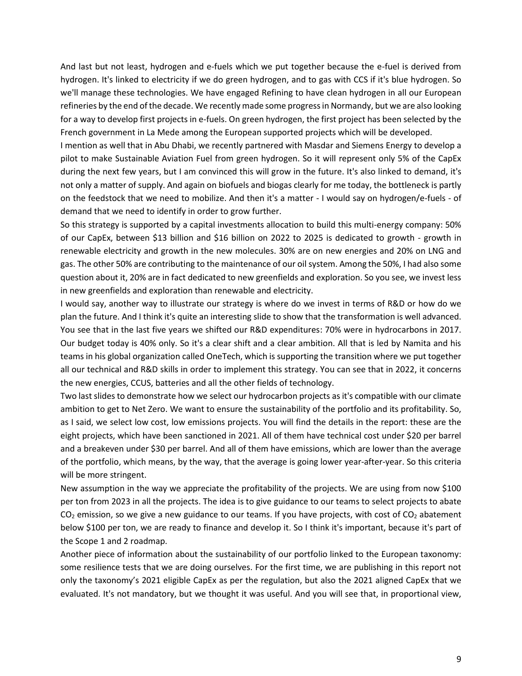And last but not least, hydrogen and e-fuels which we put together because the e-fuel is derived from hydrogen. It's linked to electricity if we do green hydrogen, and to gas with CCS if it's blue hydrogen. So we'll manage these technologies. We have engaged Refining to have clean hydrogen in all our European refineries by the end of the decade. We recently made some progress in Normandy, but we are also looking for a way to develop first projects in e-fuels. On green hydrogen, the first project has been selected by the French government in La Mede among the European supported projects which will be developed.

I mention as well that in Abu Dhabi, we recently partnered with Masdar and Siemens Energy to develop a pilot to make Sustainable Aviation Fuel from green hydrogen. So it will represent only 5% of the CapEx during the next few years, but I am convinced this will grow in the future. It's also linked to demand, it's not only a matter of supply. And again on biofuels and biogas clearly for me today, the bottleneck is partly on the feedstock that we need to mobilize. And then it's a matter - I would say on hydrogen/e-fuels - of demand that we need to identify in order to grow further.

So this strategy is supported by a capital investments allocation to build this multi-energy company: 50% of our CapEx, between \$13 billion and \$16 billion on 2022 to 2025 is dedicated to growth - growth in renewable electricity and growth in the new molecules. 30% are on new energies and 20% on LNG and gas. The other 50% are contributing to the maintenance of our oil system. Among the 50%, I had also some question about it, 20% are in fact dedicated to new greenfields and exploration. So you see, we invest less in new greenfields and exploration than renewable and electricity.

I would say, another way to illustrate our strategy is where do we invest in terms of R&D or how do we plan the future. And I think it's quite an interesting slide to show that the transformation is well advanced. You see that in the last five years we shifted our R&D expenditures: 70% were in hydrocarbons in 2017. Our budget today is 40% only. So it's a clear shift and a clear ambition. All that is led by Namita and his teams in his global organization called OneTech, which is supporting the transition where we put together all our technical and R&D skills in order to implement this strategy. You can see that in 2022, it concerns the new energies, CCUS, batteries and all the other fields of technology.

Two last slides to demonstrate how we select our hydrocarbon projects as it's compatible with our climate ambition to get to Net Zero. We want to ensure the sustainability of the portfolio and its profitability. So, as I said, we select low cost, low emissions projects. You will find the details in the report: these are the eight projects, which have been sanctioned in 2021. All of them have technical cost under \$20 per barrel and a breakeven under \$30 per barrel. And all of them have emissions, which are lower than the average of the portfolio, which means, by the way, that the average is going lower year-after-year. So this criteria will be more stringent.

New assumption in the way we appreciate the profitability of the projects. We are using from now \$100 per ton from 2023 in all the projects. The idea is to give guidance to our teams to select projects to abate  $CO<sub>2</sub>$  emission, so we give a new guidance to our teams. If you have projects, with cost of  $CO<sub>2</sub>$  abatement below \$100 per ton, we are ready to finance and develop it. So I think it's important, because it's part of the Scope 1 and 2 roadmap.

Another piece of information about the sustainability of our portfolio linked to the European taxonomy: some resilience tests that we are doing ourselves. For the first time, we are publishing in this report not only the taxonomy's 2021 eligible CapEx as per the regulation, but also the 2021 aligned CapEx that we evaluated. It's not mandatory, but we thought it was useful. And you will see that, in proportional view,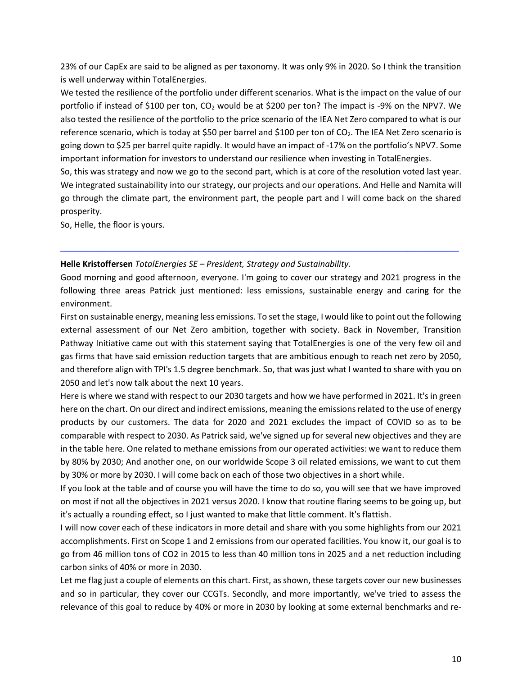23% of our CapEx are said to be aligned as per taxonomy. It was only 9% in 2020. So I think the transition is well underway within TotalEnergies.

We tested the resilience of the portfolio under different scenarios. What is the impact on the value of our portfolio if instead of \$100 per ton,  $CO<sub>2</sub>$  would be at \$200 per ton? The impact is -9% on the NPV7. We also tested the resilience of the portfolio to the price scenario of the IEA Net Zero compared to what is our reference scenario, which is today at \$50 per barrel and \$100 per ton of CO<sub>2</sub>. The IEA Net Zero scenario is going down to \$25 per barrel quite rapidly. It would have an impact of -17% on the portfolio's NPV7. Some important information for investors to understand our resilience when investing in TotalEnergies.

So, this was strategy and now we go to the second part, which is at core of the resolution voted last year. We integrated sustainability into our strategy, our projects and our operations. And Helle and Namita will go through the climate part, the environment part, the people part and I will come back on the shared prosperity.

So, Helle, the floor is yours.

### **Helle Kristoffersen** *TotalEnergies SE – President, Strategy and Sustainability.*

Good morning and good afternoon, everyone. I'm going to cover our strategy and 2021 progress in the following three areas Patrick just mentioned: less emissions, sustainable energy and caring for the environment.

─────────────────────────────────────────────────────────────────────────────────────

First on sustainable energy, meaning less emissions. To set the stage, I would like to point out the following external assessment of our Net Zero ambition, together with society. Back in November, Transition Pathway Initiative came out with this statement saying that TotalEnergies is one of the very few oil and gas firms that have said emission reduction targets that are ambitious enough to reach net zero by 2050, and therefore align with TPI's 1.5 degree benchmark. So, that was just what I wanted to share with you on 2050 and let's now talk about the next 10 years.

Here is where we stand with respect to our 2030 targets and how we have performed in 2021. It's in green here on the chart. On our direct and indirect emissions, meaning the emissions related to the use of energy products by our customers. The data for 2020 and 2021 excludes the impact of COVID so as to be comparable with respect to 2030. As Patrick said, we've signed up for several new objectives and they are in the table here. One related to methane emissions from our operated activities: we want to reduce them by 80% by 2030; And another one, on our worldwide Scope 3 oil related emissions, we want to cut them by 30% or more by 2030. I will come back on each of those two objectives in a short while.

If you look at the table and of course you will have the time to do so, you will see that we have improved on most if not all the objectives in 2021 versus 2020. I know that routine flaring seems to be going up, but it's actually a rounding effect, so I just wanted to make that little comment. It's flattish.

I will now cover each of these indicators in more detail and share with you some highlights from our 2021 accomplishments. First on Scope 1 and 2 emissions from our operated facilities. You know it, our goal is to go from 46 million tons of CO2 in 2015 to less than 40 million tons in 2025 and a net reduction including carbon sinks of 40% or more in 2030.

Let me flag just a couple of elements on this chart. First, as shown, these targets cover our new businesses and so in particular, they cover our CCGTs. Secondly, and more importantly, we've tried to assess the relevance of this goal to reduce by 40% or more in 2030 by looking at some external benchmarks and re-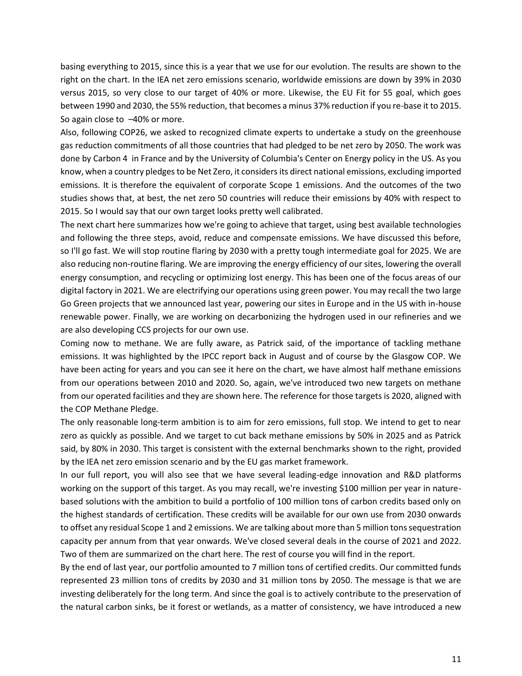basing everything to 2015, since this is a year that we use for our evolution. The results are shown to the right on the chart. In the IEA net zero emissions scenario, worldwide emissions are down by 39% in 2030 versus 2015, so very close to our target of 40% or more. Likewise, the EU Fit for 55 goal, which goes between 1990 and 2030, the 55% reduction, that becomes a minus 37% reduction if you re-base it to 2015. So again close to –40% or more.

Also, following COP26, we asked to recognized climate experts to undertake a study on the greenhouse gas reduction commitments of all those countries that had pledged to be net zero by 2050. The work was done by Carbon 4 in France and by the University of Columbia's Center on Energy policy in the US. As you know, when a country pledges to be Net Zero, it considers its direct national emissions, excluding imported emissions. It is therefore the equivalent of corporate Scope 1 emissions. And the outcomes of the two studies shows that, at best, the net zero 50 countries will reduce their emissions by 40% with respect to 2015. So I would say that our own target looks pretty well calibrated.

The next chart here summarizes how we're going to achieve that target, using best available technologies and following the three steps, avoid, reduce and compensate emissions. We have discussed this before, so I'll go fast. We will stop routine flaring by 2030 with a pretty tough intermediate goal for 2025. We are also reducing non-routine flaring. We are improving the energy efficiency of our sites, lowering the overall energy consumption, and recycling or optimizing lost energy. This has been one of the focus areas of our digital factory in 2021. We are electrifying our operations using green power. You may recall the two large Go Green projects that we announced last year, powering our sites in Europe and in the US with in-house renewable power. Finally, we are working on decarbonizing the hydrogen used in our refineries and we are also developing CCS projects for our own use.

Coming now to methane. We are fully aware, as Patrick said, of the importance of tackling methane emissions. It was highlighted by the IPCC report back in August and of course by the Glasgow COP. We have been acting for years and you can see it here on the chart, we have almost half methane emissions from our operations between 2010 and 2020. So, again, we've introduced two new targets on methane from our operated facilities and they are shown here. The reference for those targets is 2020, aligned with the COP Methane Pledge.

The only reasonable long-term ambition is to aim for zero emissions, full stop. We intend to get to near zero as quickly as possible. And we target to cut back methane emissions by 50% in 2025 and as Patrick said, by 80% in 2030. This target is consistent with the external benchmarks shown to the right, provided by the IEA net zero emission scenario and by the EU gas market framework.

In our full report, you will also see that we have several leading-edge innovation and R&D platforms working on the support of this target. As you may recall, we're investing \$100 million per year in naturebased solutions with the ambition to build a portfolio of 100 million tons of carbon credits based only on the highest standards of certification. These credits will be available for our own use from 2030 onwards to offset any residual Scope 1 and 2 emissions. We are talking about more than 5 million tons sequestration capacity per annum from that year onwards. We've closed several deals in the course of 2021 and 2022. Two of them are summarized on the chart here. The rest of course you will find in the report.

By the end of last year, our portfolio amounted to 7 million tons of certified credits. Our committed funds represented 23 million tons of credits by 2030 and 31 million tons by 2050. The message is that we are investing deliberately for the long term. And since the goal is to actively contribute to the preservation of the natural carbon sinks, be it forest or wetlands, as a matter of consistency, we have introduced a new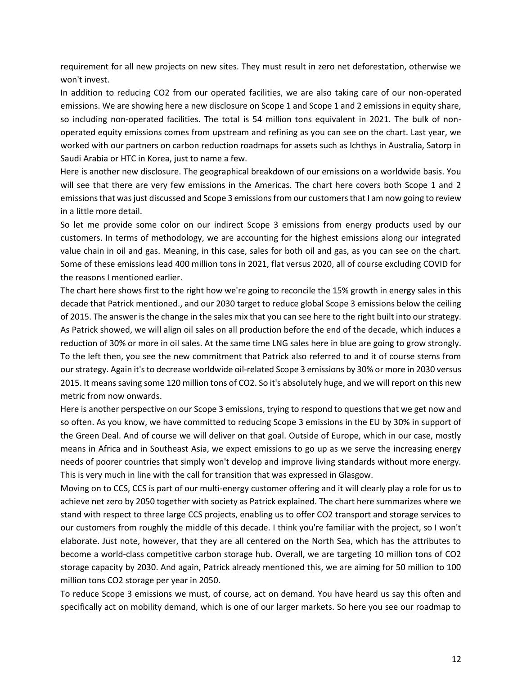requirement for all new projects on new sites. They must result in zero net deforestation, otherwise we won't invest.

In addition to reducing CO2 from our operated facilities, we are also taking care of our non-operated emissions. We are showing here a new disclosure on Scope 1 and Scope 1 and 2 emissions in equity share, so including non-operated facilities. The total is 54 million tons equivalent in 2021. The bulk of nonoperated equity emissions comes from upstream and refining as you can see on the chart. Last year, we worked with our partners on carbon reduction roadmaps for assets such as Ichthys in Australia, Satorp in Saudi Arabia or HTC in Korea, just to name a few.

Here is another new disclosure. The geographical breakdown of our emissions on a worldwide basis. You will see that there are very few emissions in the Americas. The chart here covers both Scope 1 and 2 emissions that was just discussed and Scope 3 emissions from our customers that I am now going to review in a little more detail.

So let me provide some color on our indirect Scope 3 emissions from energy products used by our customers. In terms of methodology, we are accounting for the highest emissions along our integrated value chain in oil and gas. Meaning, in this case, sales for both oil and gas, as you can see on the chart. Some of these emissions lead 400 million tons in 2021, flat versus 2020, all of course excluding COVID for the reasons I mentioned earlier.

The chart here shows first to the right how we're going to reconcile the 15% growth in energy sales in this decade that Patrick mentioned., and our 2030 target to reduce global Scope 3 emissions below the ceiling of 2015. The answer is the change in the sales mix that you can see here to the right built into our strategy. As Patrick showed, we will align oil sales on all production before the end of the decade, which induces a reduction of 30% or more in oil sales. At the same time LNG sales here in blue are going to grow strongly. To the left then, you see the new commitment that Patrick also referred to and it of course stems from our strategy. Again it's to decrease worldwide oil-related Scope 3 emissions by 30% or more in 2030 versus 2015. It means saving some 120 million tons of CO2. So it's absolutely huge, and we will report on this new metric from now onwards.

Here is another perspective on our Scope 3 emissions, trying to respond to questions that we get now and so often. As you know, we have committed to reducing Scope 3 emissions in the EU by 30% in support of the Green Deal. And of course we will deliver on that goal. Outside of Europe, which in our case, mostly means in Africa and in Southeast Asia, we expect emissions to go up as we serve the increasing energy needs of poorer countries that simply won't develop and improve living standards without more energy. This is very much in line with the call for transition that was expressed in Glasgow.

Moving on to CCS, CCS is part of our multi-energy customer offering and it will clearly play a role for us to achieve net zero by 2050 together with society as Patrick explained. The chart here summarizes where we stand with respect to three large CCS projects, enabling us to offer CO2 transport and storage services to our customers from roughly the middle of this decade. I think you're familiar with the project, so I won't elaborate. Just note, however, that they are all centered on the North Sea, which has the attributes to become a world-class competitive carbon storage hub. Overall, we are targeting 10 million tons of CO2 storage capacity by 2030. And again, Patrick already mentioned this, we are aiming for 50 million to 100 million tons CO2 storage per year in 2050.

To reduce Scope 3 emissions we must, of course, act on demand. You have heard us say this often and specifically act on mobility demand, which is one of our larger markets. So here you see our roadmap to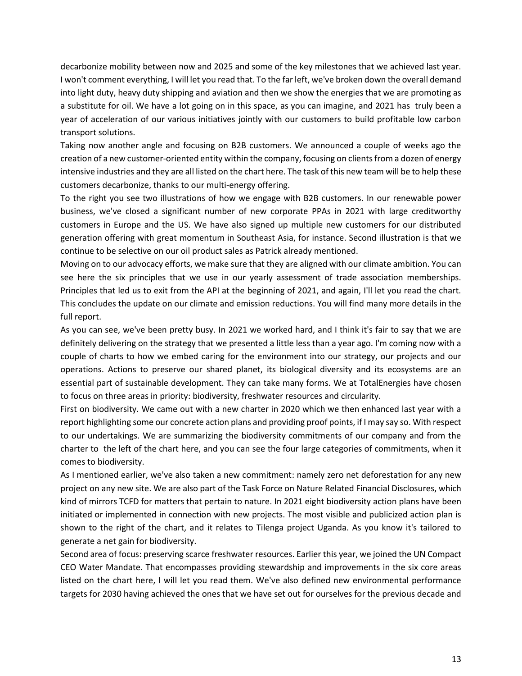decarbonize mobility between now and 2025 and some of the key milestones that we achieved last year. I won't comment everything, I will let you read that. To the far left, we've broken down the overall demand into light duty, heavy duty shipping and aviation and then we show the energies that we are promoting as a substitute for oil. We have a lot going on in this space, as you can imagine, and 2021 has truly been a year of acceleration of our various initiatives jointly with our customers to build profitable low carbon transport solutions.

Taking now another angle and focusing on B2B customers. We announced a couple of weeks ago the creation of a new customer-oriented entity within the company, focusing on clients from a dozen of energy intensive industries and they are all listed on the chart here. The task of this new team will be to help these customers decarbonize, thanks to our multi-energy offering.

To the right you see two illustrations of how we engage with B2B customers. In our renewable power business, we've closed a significant number of new corporate PPAs in 2021 with large creditworthy customers in Europe and the US. We have also signed up multiple new customers for our distributed generation offering with great momentum in Southeast Asia, for instance. Second illustration is that we continue to be selective on our oil product sales as Patrick already mentioned.

Moving on to our advocacy efforts, we make sure that they are aligned with our climate ambition. You can see here the six principles that we use in our yearly assessment of trade association memberships. Principles that led us to exit from the API at the beginning of 2021, and again, I'll let you read the chart. This concludes the update on our climate and emission reductions. You will find many more details in the full report.

As you can see, we've been pretty busy. In 2021 we worked hard, and I think it's fair to say that we are definitely delivering on the strategy that we presented a little less than a year ago. I'm coming now with a couple of charts to how we embed caring for the environment into our strategy, our projects and our operations. Actions to preserve our shared planet, its biological diversity and its ecosystems are an essential part of sustainable development. They can take many forms. We at TotalEnergies have chosen to focus on three areas in priority: biodiversity, freshwater resources and circularity.

First on biodiversity. We came out with a new charter in 2020 which we then enhanced last year with a report highlighting some our concrete action plans and providing proof points, if I may say so. With respect to our undertakings. We are summarizing the biodiversity commitments of our company and from the charter to the left of the chart here, and you can see the four large categories of commitments, when it comes to biodiversity.

As I mentioned earlier, we've also taken a new commitment: namely zero net deforestation for any new project on any new site. We are also part of the Task Force on Nature Related Financial Disclosures, which kind of mirrors TCFD for matters that pertain to nature. In 2021 eight biodiversity action plans have been initiated or implemented in connection with new projects. The most visible and publicized action plan is shown to the right of the chart, and it relates to Tilenga project Uganda. As you know it's tailored to generate a net gain for biodiversity.

Second area of focus: preserving scarce freshwater resources. Earlier this year, we joined the UN Compact CEO Water Mandate. That encompasses providing stewardship and improvements in the six core areas listed on the chart here, I will let you read them. We've also defined new environmental performance targets for 2030 having achieved the ones that we have set out for ourselves for the previous decade and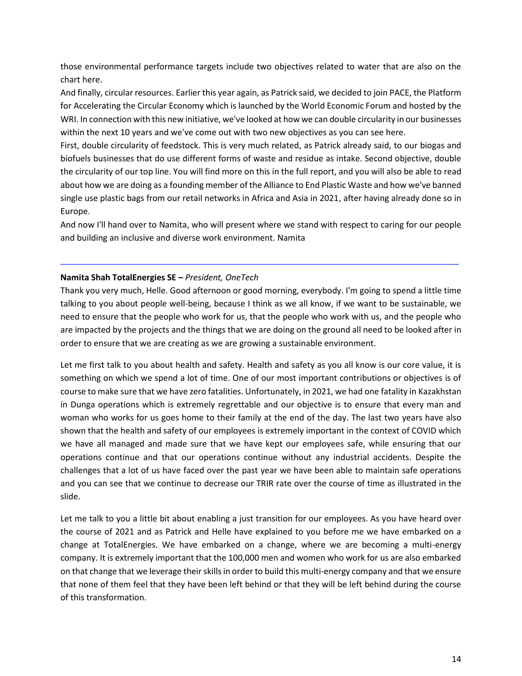those environmental performance targets include two objectives related to water that are also on the chart here.

And finally, circular resources. Earlier this year again, as Patrick said, we decided to join PACE, the Platform for Accelerating the Circular Economy which is launched by the World Economic Forum and hosted by the WRI. In connection with this new initiative, we've looked at how we can double circularity in our businesses within the next 10 years and we've come out with two new objectives as you can see here.

First, double circularity of feedstock. This is very much related, as Patrick already said, to our biogas and biofuels businesses that do use different forms of waste and residue as intake. Second objective, double the circularity of our top line. You will find more on this in the full report, and you will also be able to read about how we are doing as a founding member of the Alliance to End Plastic Waste and how we've banned single use plastic bags from our retail networks in Africa and Asia in 2021, after having already done so in Europe.

And now I'll hand over to Namita, who will present where we stand with respect to caring for our people and building an inclusive and diverse work environment. Namita

─────────────────────────────────────────────────────────────────────────────────────

# **Namita Shah TotalEnergies SE –** *President, OneTech*

Thank you very much, Helle. Good afternoon or good morning, everybody. I'm going to spend a little time talking to you about people well-being, because I think as we all know, if we want to be sustainable, we need to ensure that the people who work for us, that the people who work with us, and the people who are impacted by the projects and the things that we are doing on the ground all need to be looked after in order to ensure that we are creating as we are growing a sustainable environment.

Let me first talk to you about health and safety. Health and safety as you all know is our core value, it is something on which we spend a lot of time. One of our most important contributions or objectives is of course to make sure that we have zero fatalities. Unfortunately, in 2021, we had one fatality in Kazakhstan in Dunga operations which is extremely regrettable and our objective is to ensure that every man and woman who works for us goes home to their family at the end of the day. The last two years have also shown that the health and safety of our employees is extremely important in the context of COVID which we have all managed and made sure that we have kept our employees safe, while ensuring that our operations continue and that our operations continue without any industrial accidents. Despite the challenges that a lot of us have faced over the past year we have been able to maintain safe operations and you can see that we continue to decrease our TRIR rate over the course of time as illustrated in the slide.

Let me talk to you a little bit about enabling a just transition for our employees. As you have heard over the course of 2021 and as Patrick and Helle have explained to you before me we have embarked on a change at TotalEnergies. We have embarked on a change, where we are becoming a multi-energy company. It is extremely important that the 100,000 men and women who work for us are also embarked on that change that we leverage their skills in order to build this multi-energy company and that we ensure that none of them feel that they have been left behind or that they will be left behind during the course of this transformation.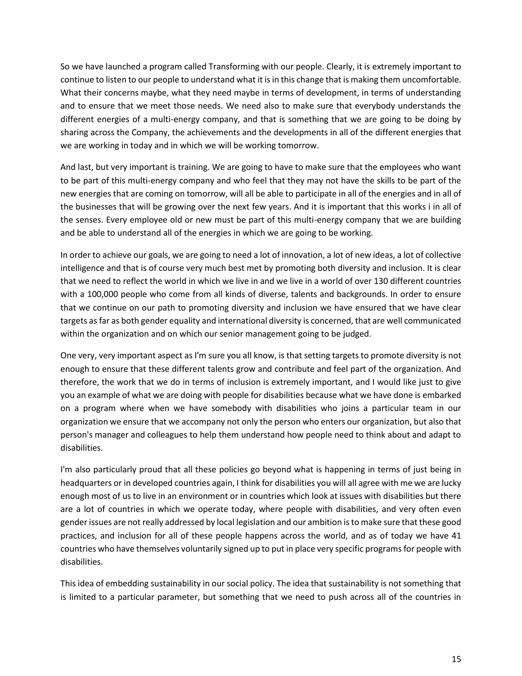So we have launched a program called Transforming with our people. Clearly, it is extremely important to continue to listen to our people to understand what it is in this change that is making them uncomfortable. What their concerns maybe, what they need maybe in terms of development, in terms of understanding and to ensure that we meet those needs. We need also to make sure that everybody understands the different energies of a multi-energy company, and that is something that we are going to be doing by sharing across the Company, the achievements and the developments in all of the different energies that we are working in today and in which we will be working tomorrow.

And last, but very important is training. We are going to have to make sure that the employees who want to be part of this multi-energy company and who feel that they may not have the skills to be part of the new energies that are coming on tomorrow, will all be able to participate in all of the energies and in all of the businesses that will be growing over the next few years. And it is important that this works i in all of the senses. Every employee old or new must be part of this multi-energy company that we are building and be able to understand all of the energies in which we are going to be working.

In order to achieve our goals, we are going to need a lot of innovation, a lot of new ideas, a lot of collective intelligence and that is of course very much best met by promoting both diversity and inclusion. It is clear that we need to reflect the world in which we live in and we live in a world of over 130 different countries with a 100,000 people who come from all kinds of diverse, talents and backgrounds. In order to ensure that we continue on our path to promoting diversity and inclusion we have ensured that we have clear targets as far as both gender equality and international diversity is concerned, that are well communicated within the organization and on which our senior management going to be judged.

One very, very important aspect as I'm sure you all know, is that setting targets to promote diversity is not enough to ensure that these different talents grow and contribute and feel part of the organization. And therefore, the work that we do in terms of inclusion is extremely important, and I would like just to give you an example of what we are doing with people for disabilities because what we have done is embarked on a program where when we have somebody with disabilities who joins a particular team in our organization we ensure that we accompany not only the person who enters our organization, but also that person's manager and colleagues to help them understand how people need to think about and adapt to disabilities.

I'm also particularly proud that all these policies go beyond what is happening in terms of just being in headquarters or in developed countries again, I think for disabilities you will all agree with me we are lucky enough most of us to live in an environment or in countries which look at issues with disabilities but there are a lot of countries in which we operate today, where people with disabilities, and very often even gender issues are not really addressed by local legislation and our ambition is to make sure that these good practices, and inclusion for all of these people happens across the world, and as of today we have 41 countries who have themselves voluntarily signed up to put in place very specific programs for people with disabilities.

This idea of embedding sustainability in our social policy. The idea that sustainability is not something that is limited to a particular parameter, but something that we need to push across all of the countries in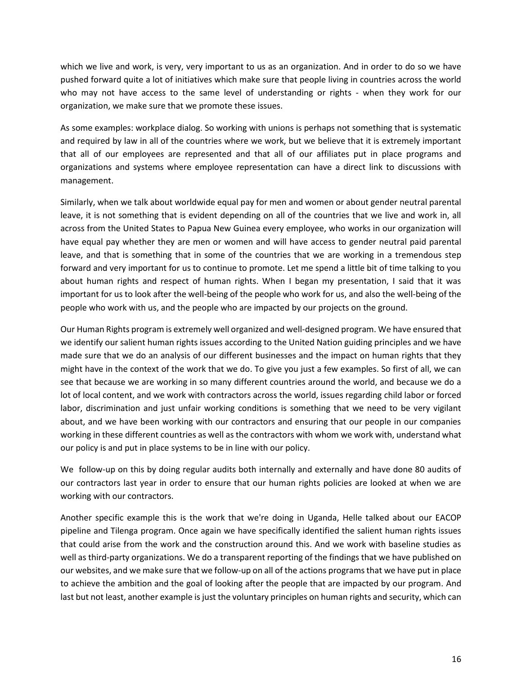which we live and work, is very, very important to us as an organization. And in order to do so we have pushed forward quite a lot of initiatives which make sure that people living in countries across the world who may not have access to the same level of understanding or rights - when they work for our organization, we make sure that we promote these issues.

As some examples: workplace dialog. So working with unions is perhaps not something that is systematic and required by law in all of the countries where we work, but we believe that it is extremely important that all of our employees are represented and that all of our affiliates put in place programs and organizations and systems where employee representation can have a direct link to discussions with management.

Similarly, when we talk about worldwide equal pay for men and women or about gender neutral parental leave, it is not something that is evident depending on all of the countries that we live and work in, all across from the United States to Papua New Guinea every employee, who works in our organization will have equal pay whether they are men or women and will have access to gender neutral paid parental leave, and that is something that in some of the countries that we are working in a tremendous step forward and very important for us to continue to promote. Let me spend a little bit of time talking to you about human rights and respect of human rights. When I began my presentation, I said that it was important for us to look after the well-being of the people who work for us, and also the well-being of the people who work with us, and the people who are impacted by our projects on the ground.

Our Human Rights program is extremely well organized and well-designed program. We have ensured that we identify our salient human rights issues according to the United Nation guiding principles and we have made sure that we do an analysis of our different businesses and the impact on human rights that they might have in the context of the work that we do. To give you just a few examples. So first of all, we can see that because we are working in so many different countries around the world, and because we do a lot of local content, and we work with contractors across the world, issues regarding child labor or forced labor, discrimination and just unfair working conditions is something that we need to be very vigilant about, and we have been working with our contractors and ensuring that our people in our companies working in these different countries as well as the contractors with whom we work with, understand what our policy is and put in place systems to be in line with our policy.

We follow-up on this by doing regular audits both internally and externally and have done 80 audits of our contractors last year in order to ensure that our human rights policies are looked at when we are working with our contractors.

Another specific example this is the work that we're doing in Uganda, Helle talked about our EACOP pipeline and Tilenga program. Once again we have specifically identified the salient human rights issues that could arise from the work and the construction around this. And we work with baseline studies as well as third-party organizations. We do a transparent reporting of the findings that we have published on our websites, and we make sure that we follow-up on all of the actions programs that we have put in place to achieve the ambition and the goal of looking after the people that are impacted by our program. And last but not least, another example is just the voluntary principles on human rights and security, which can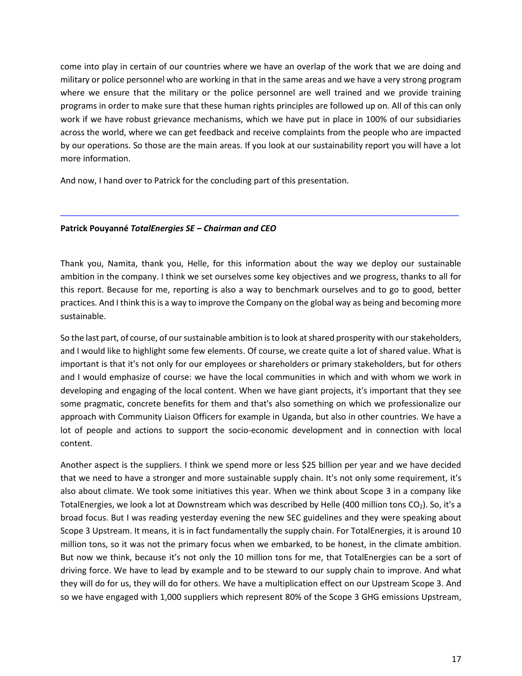come into play in certain of our countries where we have an overlap of the work that we are doing and military or police personnel who are working in that in the same areas and we have a very strong program where we ensure that the military or the police personnel are well trained and we provide training programs in order to make sure that these human rights principles are followed up on. All of this can only work if we have robust grievance mechanisms, which we have put in place in 100% of our subsidiaries across the world, where we can get feedback and receive complaints from the people who are impacted by our operations. So those are the main areas. If you look at our sustainability report you will have a lot more information.

And now, I hand over to Patrick for the concluding part of this presentation.

### **Patrick Pouyanné** *TotalEnergies SE – Chairman and CEO*

Thank you, Namita, thank you, Helle, for this information about the way we deploy our sustainable ambition in the company. I think we set ourselves some key objectives and we progress, thanks to all for this report. Because for me, reporting is also a way to benchmark ourselves and to go to good, better practices. And I think this is a way to improve the Company on the global way as being and becoming more sustainable.

─────────────────────────────────────────────────────────────────────────────────────

So the last part, of course, of our sustainable ambition is to look at shared prosperity with our stakeholders, and I would like to highlight some few elements. Of course, we create quite a lot of shared value. What is important is that it's not only for our employees or shareholders or primary stakeholders, but for others and I would emphasize of course: we have the local communities in which and with whom we work in developing and engaging of the local content. When we have giant projects, it's important that they see some pragmatic, concrete benefits for them and that's also something on which we professionalize our approach with Community Liaison Officers for example in Uganda, but also in other countries. We have a lot of people and actions to support the socio-economic development and in connection with local content.

Another aspect is the suppliers. I think we spend more or less \$25 billion per year and we have decided that we need to have a stronger and more sustainable supply chain. It's not only some requirement, it's also about climate. We took some initiatives this year. When we think about Scope 3 in a company like TotalEnergies, we look a lot at Downstream which was described by Helle (400 million tons CO<sub>2</sub>). So, it's a broad focus. But I was reading yesterday evening the new SEC guidelines and they were speaking about Scope 3 Upstream. It means, it is in fact fundamentally the supply chain. For TotalEnergies, it is around 10 million tons, so it was not the primary focus when we embarked, to be honest, in the climate ambition. But now we think, because it's not only the 10 million tons for me, that TotalEnergies can be a sort of driving force. We have to lead by example and to be steward to our supply chain to improve. And what they will do for us, they will do for others. We have a multiplication effect on our Upstream Scope 3. And so we have engaged with 1,000 suppliers which represent 80% of the Scope 3 GHG emissions Upstream,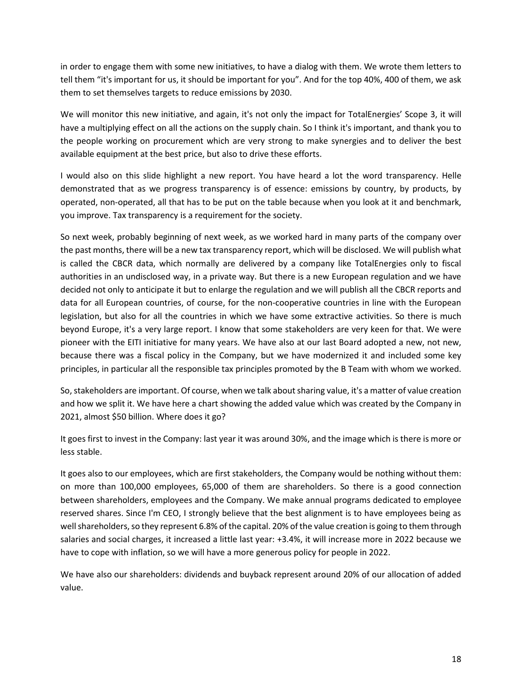in order to engage them with some new initiatives, to have a dialog with them. We wrote them letters to tell them "it's important for us, it should be important for you". And for the top 40%, 400 of them, we ask them to set themselves targets to reduce emissions by 2030.

We will monitor this new initiative, and again, it's not only the impact for TotalEnergies' Scope 3, it will have a multiplying effect on all the actions on the supply chain. So I think it's important, and thank you to the people working on procurement which are very strong to make synergies and to deliver the best available equipment at the best price, but also to drive these efforts.

I would also on this slide highlight a new report. You have heard a lot the word transparency. Helle demonstrated that as we progress transparency is of essence: emissions by country, by products, by operated, non-operated, all that has to be put on the table because when you look at it and benchmark, you improve. Tax transparency is a requirement for the society.

So next week, probably beginning of next week, as we worked hard in many parts of the company over the past months, there will be a new tax transparency report, which will be disclosed. We will publish what is called the CBCR data, which normally are delivered by a company like TotalEnergies only to fiscal authorities in an undisclosed way, in a private way. But there is a new European regulation and we have decided not only to anticipate it but to enlarge the regulation and we will publish all the CBCR reports and data for all European countries, of course, for the non-cooperative countries in line with the European legislation, but also for all the countries in which we have some extractive activities. So there is much beyond Europe, it's a very large report. I know that some stakeholders are very keen for that. We were pioneer with the EITI initiative for many years. We have also at our last Board adopted a new, not new, because there was a fiscal policy in the Company, but we have modernized it and included some key principles, in particular all the responsible tax principles promoted by the B Team with whom we worked.

So, stakeholders are important. Of course, when we talk about sharing value, it's a matter of value creation and how we split it. We have here a chart showing the added value which was created by the Company in 2021, almost \$50 billion. Where does it go?

It goes first to invest in the Company: last year it was around 30%, and the image which is there is more or less stable.

It goes also to our employees, which are first stakeholders, the Company would be nothing without them: on more than 100,000 employees, 65,000 of them are shareholders. So there is a good connection between shareholders, employees and the Company. We make annual programs dedicated to employee reserved shares. Since I'm CEO, I strongly believe that the best alignment is to have employees being as well shareholders, so they represent 6.8% of the capital. 20% of the value creation is going to them through salaries and social charges, it increased a little last year: +3.4%, it will increase more in 2022 because we have to cope with inflation, so we will have a more generous policy for people in 2022.

We have also our shareholders: dividends and buyback represent around 20% of our allocation of added value.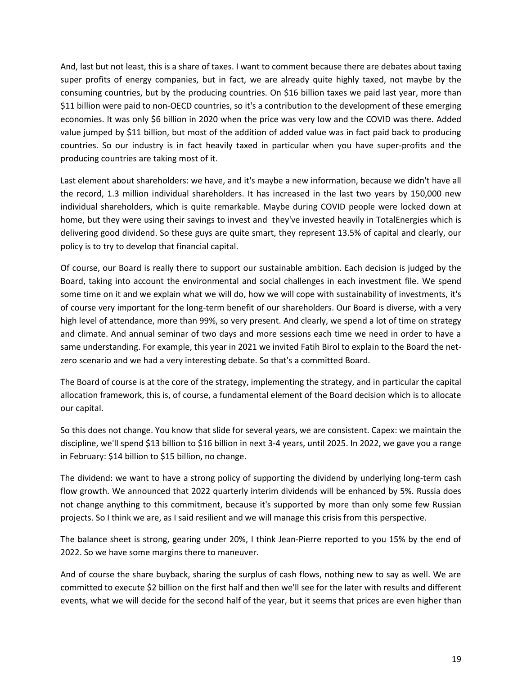And, last but not least, this is a share of taxes. I want to comment because there are debates about taxing super profits of energy companies, but in fact, we are already quite highly taxed, not maybe by the consuming countries, but by the producing countries. On \$16 billion taxes we paid last year, more than \$11 billion were paid to non-OECD countries, so it's a contribution to the development of these emerging economies. It was only \$6 billion in 2020 when the price was very low and the COVID was there. Added value jumped by \$11 billion, but most of the addition of added value was in fact paid back to producing countries. So our industry is in fact heavily taxed in particular when you have super-profits and the producing countries are taking most of it.

Last element about shareholders: we have, and it's maybe a new information, because we didn't have all the record, 1.3 million individual shareholders. It has increased in the last two years by 150,000 new individual shareholders, which is quite remarkable. Maybe during COVID people were locked down at home, but they were using their savings to invest and they've invested heavily in TotalEnergies which is delivering good dividend. So these guys are quite smart, they represent 13.5% of capital and clearly, our policy is to try to develop that financial capital.

Of course, our Board is really there to support our sustainable ambition. Each decision is judged by the Board, taking into account the environmental and social challenges in each investment file. We spend some time on it and we explain what we will do, how we will cope with sustainability of investments, it's of course very important for the long-term benefit of our shareholders. Our Board is diverse, with a very high level of attendance, more than 99%, so very present. And clearly, we spend a lot of time on strategy and climate. And annual seminar of two days and more sessions each time we need in order to have a same understanding. For example, this year in 2021 we invited Fatih Birol to explain to the Board the netzero scenario and we had a very interesting debate. So that's a committed Board.

The Board of course is at the core of the strategy, implementing the strategy, and in particular the capital allocation framework, this is, of course, a fundamental element of the Board decision which is to allocate our capital.

So this does not change. You know that slide for several years, we are consistent. Capex: we maintain the discipline, we'll spend \$13 billion to \$16 billion in next 3-4 years, until 2025. In 2022, we gave you a range in February: \$14 billion to \$15 billion, no change.

The dividend: we want to have a strong policy of supporting the dividend by underlying long-term cash flow growth. We announced that 2022 quarterly interim dividends will be enhanced by 5%. Russia does not change anything to this commitment, because it's supported by more than only some few Russian projects. So I think we are, as I said resilient and we will manage this crisis from this perspective.

The balance sheet is strong, gearing under 20%, I think Jean-Pierre reported to you 15% by the end of 2022. So we have some margins there to maneuver.

And of course the share buyback, sharing the surplus of cash flows, nothing new to say as well. We are committed to execute \$2 billion on the first half and then we'll see for the later with results and different events, what we will decide for the second half of the year, but it seems that prices are even higher than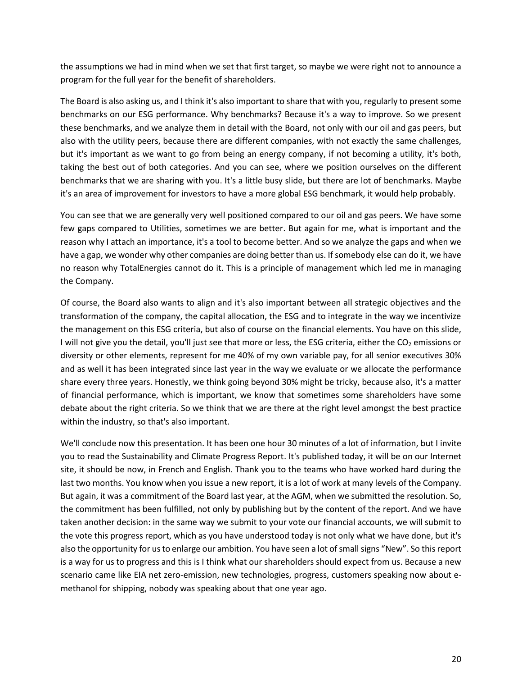the assumptions we had in mind when we set that first target, so maybe we were right not to announce a program for the full year for the benefit of shareholders.

The Board is also asking us, and I think it's also important to share that with you, regularly to present some benchmarks on our ESG performance. Why benchmarks? Because it's a way to improve. So we present these benchmarks, and we analyze them in detail with the Board, not only with our oil and gas peers, but also with the utility peers, because there are different companies, with not exactly the same challenges, but it's important as we want to go from being an energy company, if not becoming a utility, it's both, taking the best out of both categories. And you can see, where we position ourselves on the different benchmarks that we are sharing with you. It's a little busy slide, but there are lot of benchmarks. Maybe it's an area of improvement for investors to have a more global ESG benchmark, it would help probably.

You can see that we are generally very well positioned compared to our oil and gas peers. We have some few gaps compared to Utilities, sometimes we are better. But again for me, what is important and the reason why I attach an importance, it's a tool to become better. And so we analyze the gaps and when we have a gap, we wonder why other companies are doing better than us. If somebody else can do it, we have no reason why TotalEnergies cannot do it. This is a principle of management which led me in managing the Company.

Of course, the Board also wants to align and it's also important between all strategic objectives and the transformation of the company, the capital allocation, the ESG and to integrate in the way we incentivize the management on this ESG criteria, but also of course on the financial elements. You have on this slide, I will not give you the detail, you'll just see that more or less, the ESG criteria, either the  $CO<sub>2</sub>$  emissions or diversity or other elements, represent for me 40% of my own variable pay, for all senior executives 30% and as well it has been integrated since last year in the way we evaluate or we allocate the performance share every three years. Honestly, we think going beyond 30% might be tricky, because also, it's a matter of financial performance, which is important, we know that sometimes some shareholders have some debate about the right criteria. So we think that we are there at the right level amongst the best practice within the industry, so that's also important.

We'll conclude now this presentation. It has been one hour 30 minutes of a lot of information, but I invite you to read the Sustainability and Climate Progress Report. It's published today, it will be on our Internet site, it should be now, in French and English. Thank you to the teams who have worked hard during the last two months. You know when you issue a new report, it is a lot of work at many levels of the Company. But again, it was a commitment of the Board last year, at the AGM, when we submitted the resolution. So, the commitment has been fulfilled, not only by publishing but by the content of the report. And we have taken another decision: in the same way we submit to your vote our financial accounts, we will submit to the vote this progress report, which as you have understood today is not only what we have done, but it's also the opportunity for us to enlarge our ambition. You have seen a lot of small signs "New". So this report is a way for us to progress and this is I think what our shareholders should expect from us. Because a new scenario came like EIA net zero-emission, new technologies, progress, customers speaking now about emethanol for shipping, nobody was speaking about that one year ago.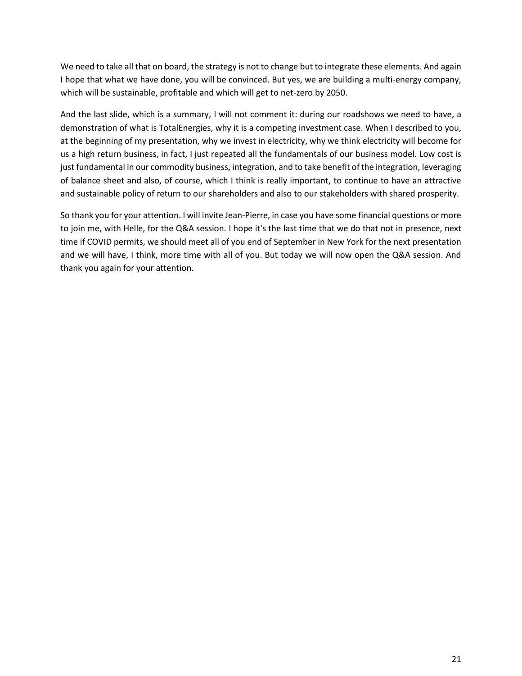We need to take all that on board, the strategy is not to change but to integrate these elements. And again I hope that what we have done, you will be convinced. But yes, we are building a multi-energy company, which will be sustainable, profitable and which will get to net-zero by 2050.

And the last slide, which is a summary, I will not comment it: during our roadshows we need to have, a demonstration of what is TotalEnergies, why it is a competing investment case. When I described to you, at the beginning of my presentation, why we invest in electricity, why we think electricity will become for us a high return business, in fact, I just repeated all the fundamentals of our business model. Low cost is just fundamental in our commodity business, integration, and to take benefit of the integration, leveraging of balance sheet and also, of course, which I think is really important, to continue to have an attractive and sustainable policy of return to our shareholders and also to our stakeholders with shared prosperity.

So thank you for your attention. I will invite Jean-Pierre, in case you have some financial questions or more to join me, with Helle, for the Q&A session. I hope it's the last time that we do that not in presence, next time if COVID permits, we should meet all of you end of September in New York for the next presentation and we will have, I think, more time with all of you. But today we will now open the Q&A session. And thank you again for your attention.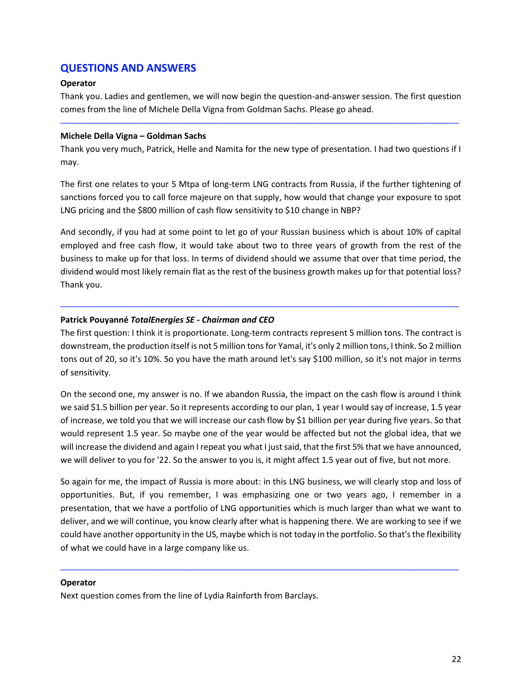# **QUESTIONS AND ANSWERS**

### **Operator**

Thank you. Ladies and gentlemen, we will now begin the question-and-answer session. The first question comes from the line of Michele Della Vigna from Goldman Sachs. Please go ahead.

─────────────────────────────────────────────────────────────────────────────────────

## **Michele Della Vigna – Goldman Sachs**

Thank you very much, Patrick, Helle and Namita for the new type of presentation. I had two questions if I may.

The first one relates to your 5 Mtpa of long-term LNG contracts from Russia, if the further tightening of sanctions forced you to call force majeure on that supply, how would that change your exposure to spot LNG pricing and the \$800 million of cash flow sensitivity to \$10 change in NBP?

And secondly, if you had at some point to let go of your Russian business which is about 10% of capital employed and free cash flow, it would take about two to three years of growth from the rest of the business to make up for that loss. In terms of dividend should we assume that over that time period, the dividend would most likely remain flat as the rest of the business growth makes up for that potential loss? Thank you.

# **Patrick Pouyanné** *TotalEnergies SE - Chairman and CEO*

The first question: I think it is proportionate. Long-term contracts represent 5 million tons. The contract is downstream, the production itself is not 5 million tons for Yamal, it's only 2 million tons, I think. So 2 million tons out of 20, so it's 10%. So you have the math around let's say \$100 million, so it's not major in terms of sensitivity.

─────────────────────────────────────────────────────────────────────────────────────

On the second one, my answer is no. If we abandon Russia, the impact on the cash flow is around I think we said \$1.5 billion per year. So it represents according to our plan, 1 year I would say of increase, 1.5 year of increase, we told you that we will increase our cash flow by \$1 billion per year during five years. So that would represent 1.5 year. So maybe one of the year would be affected but not the global idea, that we will increase the dividend and again I repeat you what I just said, that the first 5% that we have announced, we will deliver to you for '22. So the answer to you is, it might affect 1.5 year out of five, but not more.

So again for me, the impact of Russia is more about: in this LNG business, we will clearly stop and loss of opportunities. But, if you remember, I was emphasizing one or two years ago, I remember in a presentation, that we have a portfolio of LNG opportunities which is much larger than what we want to deliver, and we will continue, you know clearly after what is happening there. We are working to see if we could have another opportunity in the US, maybe which is not today in the portfolio. So that's the flexibility of what we could have in a large company like us.

─────────────────────────────────────────────────────────────────────────────────────

### **Operator**

Next question comes from the line of Lydia Rainforth from Barclays.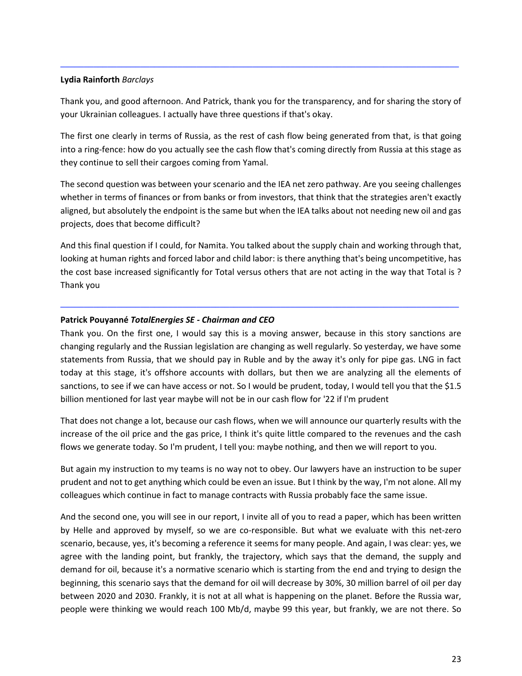### **Lydia Rainforth** *Barclays*

Thank you, and good afternoon. And Patrick, thank you for the transparency, and for sharing the story of your Ukrainian colleagues. I actually have three questions if that's okay.

─────────────────────────────────────────────────────────────────────────────────────

The first one clearly in terms of Russia, as the rest of cash flow being generated from that, is that going into a ring-fence: how do you actually see the cash flow that's coming directly from Russia at this stage as they continue to sell their cargoes coming from Yamal.

The second question was between your scenario and the IEA net zero pathway. Are you seeing challenges whether in terms of finances or from banks or from investors, that think that the strategies aren't exactly aligned, but absolutely the endpoint is the same but when the IEA talks about not needing new oil and gas projects, does that become difficult?

And this final question if I could, for Namita. You talked about the supply chain and working through that, looking at human rights and forced labor and child labor: is there anything that's being uncompetitive, has the cost base increased significantly for Total versus others that are not acting in the way that Total is ? Thank you

─────────────────────────────────────────────────────────────────────────────────────

### **Patrick Pouyanné** *TotalEnergies SE - Chairman and CEO*

Thank you. On the first one, I would say this is a moving answer, because in this story sanctions are changing regularly and the Russian legislation are changing as well regularly. So yesterday, we have some statements from Russia, that we should pay in Ruble and by the away it's only for pipe gas. LNG in fact today at this stage, it's offshore accounts with dollars, but then we are analyzing all the elements of sanctions, to see if we can have access or not. So I would be prudent, today, I would tell you that the \$1.5 billion mentioned for last year maybe will not be in our cash flow for '22 if I'm prudent

That does not change a lot, because our cash flows, when we will announce our quarterly results with the increase of the oil price and the gas price, I think it's quite little compared to the revenues and the cash flows we generate today. So I'm prudent, I tell you: maybe nothing, and then we will report to you.

But again my instruction to my teams is no way not to obey. Our lawyers have an instruction to be super prudent and not to get anything which could be even an issue. But I think by the way, I'm not alone. All my colleagues which continue in fact to manage contracts with Russia probably face the same issue.

And the second one, you will see in our report, I invite all of you to read a paper, which has been written by Helle and approved by myself, so we are co-responsible. But what we evaluate with this net-zero scenario, because, yes, it's becoming a reference it seems for many people. And again, I was clear: yes, we agree with the landing point, but frankly, the trajectory, which says that the demand, the supply and demand for oil, because it's a normative scenario which is starting from the end and trying to design the beginning, this scenario says that the demand for oil will decrease by 30%, 30 million barrel of oil per day between 2020 and 2030. Frankly, it is not at all what is happening on the planet. Before the Russia war, people were thinking we would reach 100 Mb/d, maybe 99 this year, but frankly, we are not there. So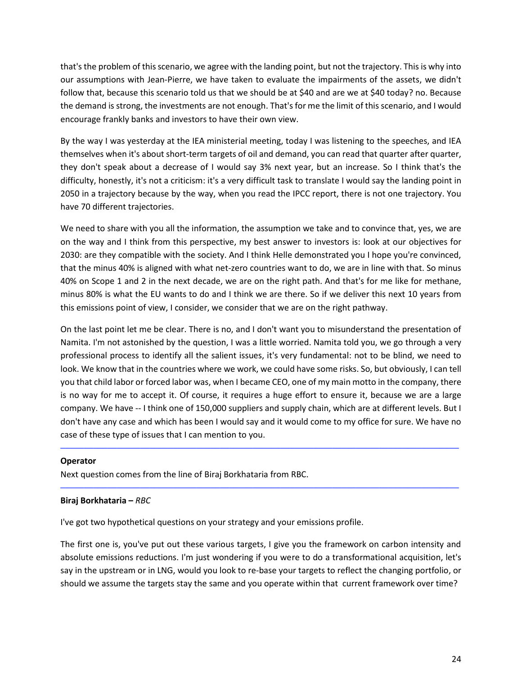that's the problem of this scenario, we agree with the landing point, but not the trajectory. This is why into our assumptions with Jean-Pierre, we have taken to evaluate the impairments of the assets, we didn't follow that, because this scenario told us that we should be at \$40 and are we at \$40 today? no. Because the demand is strong, the investments are not enough. That's for me the limit of this scenario, and I would encourage frankly banks and investors to have their own view.

By the way I was yesterday at the IEA ministerial meeting, today I was listening to the speeches, and IEA themselves when it's about short-term targets of oil and demand, you can read that quarter after quarter, they don't speak about a decrease of I would say 3% next year, but an increase. So I think that's the difficulty, honestly, it's not a criticism: it's a very difficult task to translate I would say the landing point in 2050 in a trajectory because by the way, when you read the IPCC report, there is not one trajectory. You have 70 different trajectories.

We need to share with you all the information, the assumption we take and to convince that, yes, we are on the way and I think from this perspective, my best answer to investors is: look at our objectives for 2030: are they compatible with the society. And I think Helle demonstrated you I hope you're convinced, that the minus 40% is aligned with what net-zero countries want to do, we are in line with that. So minus 40% on Scope 1 and 2 in the next decade, we are on the right path. And that's for me like for methane, minus 80% is what the EU wants to do and I think we are there. So if we deliver this next 10 years from this emissions point of view, I consider, we consider that we are on the right pathway.

On the last point let me be clear. There is no, and I don't want you to misunderstand the presentation of Namita. I'm not astonished by the question, I was a little worried. Namita told you, we go through a very professional process to identify all the salient issues, it's very fundamental: not to be blind, we need to look. We know that in the countries where we work, we could have some risks. So, but obviously, I can tell you that child labor or forced labor was, when I became CEO, one of my main motto in the company, there is no way for me to accept it. Of course, it requires a huge effort to ensure it, because we are a large company. We have -- I think one of 150,000 suppliers and supply chain, which are at different levels. But I don't have any case and which has been I would say and it would come to my office for sure. We have no case of these type of issues that I can mention to you.

─────────────────────────────────────────────────────────────────────────────────────

─────────────────────────────────────────────────────────────────────────────────────

### **Operator**

Next question comes from the line of Biraj Borkhataria from RBC.

# **Biraj Borkhataria –** *RBC*

I've got two hypothetical questions on your strategy and your emissions profile.

The first one is, you've put out these various targets, I give you the framework on carbon intensity and absolute emissions reductions. I'm just wondering if you were to do a transformational acquisition, let's say in the upstream or in LNG, would you look to re-base your targets to reflect the changing portfolio, or should we assume the targets stay the same and you operate within that current framework over time?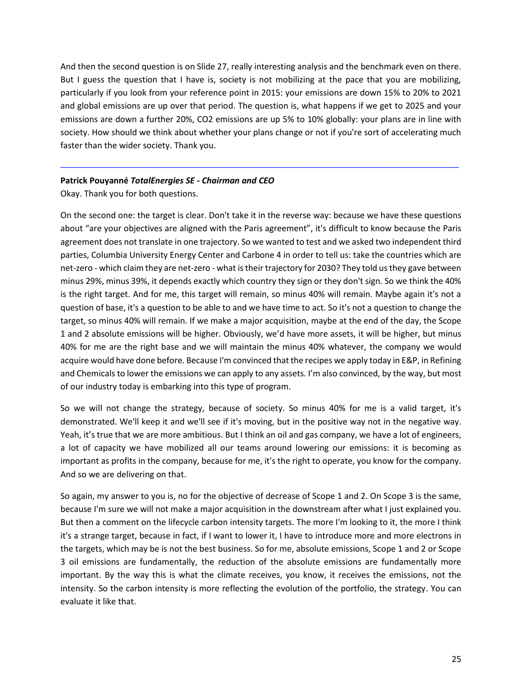And then the second question is on Slide 27, really interesting analysis and the benchmark even on there. But I guess the question that I have is, society is not mobilizing at the pace that you are mobilizing, particularly if you look from your reference point in 2015: your emissions are down 15% to 20% to 2021 and global emissions are up over that period. The question is, what happens if we get to 2025 and your emissions are down a further 20%, CO2 emissions are up 5% to 10% globally: your plans are in line with society. How should we think about whether your plans change or not if you're sort of accelerating much faster than the wider society. Thank you.

─────────────────────────────────────────────────────────────────────────────────────

# **Patrick Pouyanné** *TotalEnergies SE - Chairman and CEO*

Okay. Thank you for both questions.

On the second one: the target is clear. Don't take it in the reverse way: because we have these questions about "are your objectives are aligned with the Paris agreement", it's difficult to know because the Paris agreement does not translate in one trajectory. So we wanted to test and we asked two independent third parties, Columbia University Energy Center and Carbone 4 in order to tell us: take the countries which are net-zero - which claim they are net-zero - what is their trajectory for 2030? They told us they gave between minus 29%, minus 39%, it depends exactly which country they sign or they don't sign. So we think the 40% is the right target. And for me, this target will remain, so minus 40% will remain. Maybe again it's not a question of base, it's a question to be able to and we have time to act. So it's not a question to change the target, so minus 40% will remain. If we make a major acquisition, maybe at the end of the day, the Scope 1 and 2 absolute emissions will be higher. Obviously, we'd have more assets, it will be higher, but minus 40% for me are the right base and we will maintain the minus 40% whatever, the company we would acquire would have done before. Because I'm convinced that the recipes we apply today in E&P, in Refining and Chemicals to lower the emissions we can apply to any assets. I'm also convinced, by the way, but most of our industry today is embarking into this type of program.

So we will not change the strategy, because of society. So minus 40% for me is a valid target, it's demonstrated. We'll keep it and we'll see if it's moving, but in the positive way not in the negative way. Yeah, it's true that we are more ambitious. But I think an oil and gas company, we have a lot of engineers, a lot of capacity we have mobilized all our teams around lowering our emissions: it is becoming as important as profits in the company, because for me, it's the right to operate, you know for the company. And so we are delivering on that.

So again, my answer to you is, no for the objective of decrease of Scope 1 and 2. On Scope 3 is the same, because I'm sure we will not make a major acquisition in the downstream after what I just explained you. But then a comment on the lifecycle carbon intensity targets. The more I'm looking to it, the more I think it's a strange target, because in fact, if I want to lower it, I have to introduce more and more electrons in the targets, which may be is not the best business. So for me, absolute emissions, Scope 1 and 2 or Scope 3 oil emissions are fundamentally, the reduction of the absolute emissions are fundamentally more important. By the way this is what the climate receives, you know, it receives the emissions, not the intensity. So the carbon intensity is more reflecting the evolution of the portfolio, the strategy. You can evaluate it like that.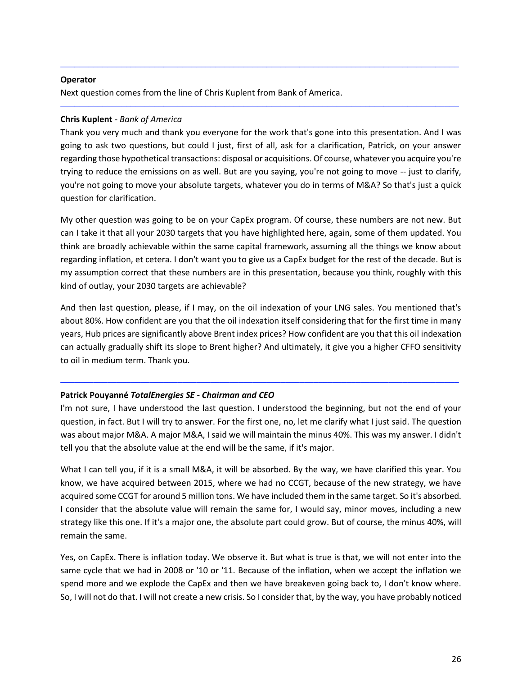## **Operator**

Next question comes from the line of Chris Kuplent from Bank of America.

# **Chris Kuplent** *- Bank of America*

Thank you very much and thank you everyone for the work that's gone into this presentation. And I was going to ask two questions, but could I just, first of all, ask for a clarification, Patrick, on your answer regarding those hypothetical transactions: disposal or acquisitions. Of course, whatever you acquire you're trying to reduce the emissions on as well. But are you saying, you're not going to move -- just to clarify, you're not going to move your absolute targets, whatever you do in terms of M&A? So that's just a quick question for clarification.

─────────────────────────────────────────────────────────────────────────────────────

─────────────────────────────────────────────────────────────────────────────────────

My other question was going to be on your CapEx program. Of course, these numbers are not new. But can I take it that all your 2030 targets that you have highlighted here, again, some of them updated. You think are broadly achievable within the same capital framework, assuming all the things we know about regarding inflation, et cetera. I don't want you to give us a CapEx budget for the rest of the decade. But is my assumption correct that these numbers are in this presentation, because you think, roughly with this kind of outlay, your 2030 targets are achievable?

And then last question, please, if I may, on the oil indexation of your LNG sales. You mentioned that's about 80%. How confident are you that the oil indexation itself considering that for the first time in many years, Hub prices are significantly above Brent index prices? How confident are you that this oil indexation can actually gradually shift its slope to Brent higher? And ultimately, it give you a higher CFFO sensitivity to oil in medium term. Thank you.

### **Patrick Pouyanné** *TotalEnergies SE - Chairman and CEO*

I'm not sure, I have understood the last question. I understood the beginning, but not the end of your question, in fact. But I will try to answer. For the first one, no, let me clarify what I just said. The question was about major M&A. A major M&A, I said we will maintain the minus 40%. This was my answer. I didn't tell you that the absolute value at the end will be the same, if it's major.

─────────────────────────────────────────────────────────────────────────────────────

What I can tell you, if it is a small M&A, it will be absorbed. By the way, we have clarified this year. You know, we have acquired between 2015, where we had no CCGT, because of the new strategy, we have acquired some CCGT for around 5 million tons. We have included them in the same target. So it's absorbed. I consider that the absolute value will remain the same for, I would say, minor moves, including a new strategy like this one. If it's a major one, the absolute part could grow. But of course, the minus 40%, will remain the same.

Yes, on CapEx. There is inflation today. We observe it. But what is true is that, we will not enter into the same cycle that we had in 2008 or '10 or '11. Because of the inflation, when we accept the inflation we spend more and we explode the CapEx and then we have breakeven going back to, I don't know where. So, I will not do that. I will not create a new crisis. So I consider that, by the way, you have probably noticed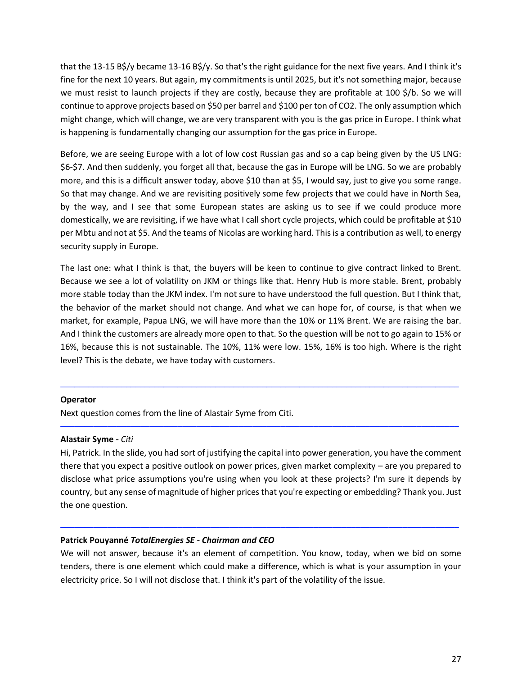that the 13-15 B\$/y became 13-16 B\$/y. So that's the right guidance for the next five years. And I think it's fine for the next 10 years. But again, my commitments is until 2025, but it's not something major, because we must resist to launch projects if they are costly, because they are profitable at 100 \$/b. So we will continue to approve projects based on \$50 per barrel and \$100 per ton of CO2. The only assumption which might change, which will change, we are very transparent with you is the gas price in Europe. I think what is happening is fundamentally changing our assumption for the gas price in Europe.

Before, we are seeing Europe with a lot of low cost Russian gas and so a cap being given by the US LNG: \$6-\$7. And then suddenly, you forget all that, because the gas in Europe will be LNG. So we are probably more, and this is a difficult answer today, above \$10 than at \$5, I would say, just to give you some range. So that may change. And we are revisiting positively some few projects that we could have in North Sea, by the way, and I see that some European states are asking us to see if we could produce more domestically, we are revisiting, if we have what I call short cycle projects, which could be profitable at \$10 per Mbtu and not at \$5. And the teams of Nicolas are working hard. This is a contribution as well, to energy security supply in Europe.

The last one: what I think is that, the buyers will be keen to continue to give contract linked to Brent. Because we see a lot of volatility on JKM or things like that. Henry Hub is more stable. Brent, probably more stable today than the JKM index. I'm not sure to have understood the full question. But I think that, the behavior of the market should not change. And what we can hope for, of course, is that when we market, for example, Papua LNG, we will have more than the 10% or 11% Brent. We are raising the bar. And I think the customers are already more open to that. So the question will be not to go again to 15% or 16%, because this is not sustainable. The 10%, 11% were low. 15%, 16% is too high. Where is the right level? This is the debate, we have today with customers.

─────────────────────────────────────────────────────────────────────────────────────

─────────────────────────────────────────────────────────────────────────────────────

### **Operator**

Next question comes from the line of Alastair Syme from Citi.

#### **Alastair Syme -** *Citi*

Hi, Patrick. In the slide, you had sort of justifying the capital into power generation, you have the comment there that you expect a positive outlook on power prices, given market complexity – are you prepared to disclose what price assumptions you're using when you look at these projects? I'm sure it depends by country, but any sense of magnitude of higher prices that you're expecting or embedding? Thank you. Just the one question.

### **Patrick Pouyanné** *TotalEnergies SE - Chairman and CEO*

We will not answer, because it's an element of competition. You know, today, when we bid on some tenders, there is one element which could make a difference, which is what is your assumption in your electricity price. So I will not disclose that. I think it's part of the volatility of the issue.

─────────────────────────────────────────────────────────────────────────────────────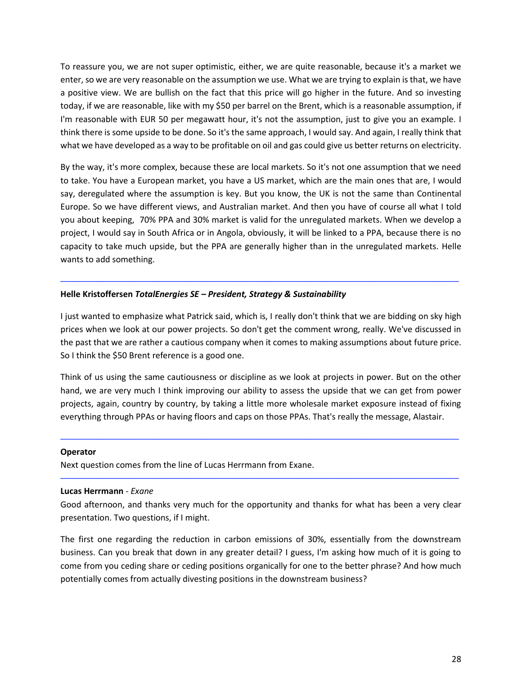To reassure you, we are not super optimistic, either, we are quite reasonable, because it's a market we enter, so we are very reasonable on the assumption we use. What we are trying to explain is that, we have a positive view. We are bullish on the fact that this price will go higher in the future. And so investing today, if we are reasonable, like with my \$50 per barrel on the Brent, which is a reasonable assumption, if I'm reasonable with EUR 50 per megawatt hour, it's not the assumption, just to give you an example. I think there is some upside to be done. So it's the same approach, I would say. And again, I really think that what we have developed as a way to be profitable on oil and gas could give us better returns on electricity.

By the way, it's more complex, because these are local markets. So it's not one assumption that we need to take. You have a European market, you have a US market, which are the main ones that are, I would say, deregulated where the assumption is key. But you know, the UK is not the same than Continental Europe. So we have different views, and Australian market. And then you have of course all what I told you about keeping, 70% PPA and 30% market is valid for the unregulated markets. When we develop a project, I would say in South Africa or in Angola, obviously, it will be linked to a PPA, because there is no capacity to take much upside, but the PPA are generally higher than in the unregulated markets. Helle wants to add something.

### **Helle Kristoffersen** *TotalEnergies SE – President, Strategy & Sustainability*

I just wanted to emphasize what Patrick said, which is, I really don't think that we are bidding on sky high prices when we look at our power projects. So don't get the comment wrong, really. We've discussed in the past that we are rather a cautious company when it comes to making assumptions about future price. So I think the \$50 Brent reference is a good one.

─────────────────────────────────────────────────────────────────────────────────────

Think of us using the same cautiousness or discipline as we look at projects in power. But on the other hand, we are very much I think improving our ability to assess the upside that we can get from power projects, again, country by country, by taking a little more wholesale market exposure instead of fixing everything through PPAs or having floors and caps on those PPAs. That's really the message, Alastair.

─────────────────────────────────────────────────────────────────────────────────────

─────────────────────────────────────────────────────────────────────────────────────

#### **Operator**

Next question comes from the line of Lucas Herrmann from Exane.

#### **Lucas Herrmann** - *Exane*

Good afternoon, and thanks very much for the opportunity and thanks for what has been a very clear presentation. Two questions, if I might.

The first one regarding the reduction in carbon emissions of 30%, essentially from the downstream business. Can you break that down in any greater detail? I guess, I'm asking how much of it is going to come from you ceding share or ceding positions organically for one to the better phrase? And how much potentially comes from actually divesting positions in the downstream business?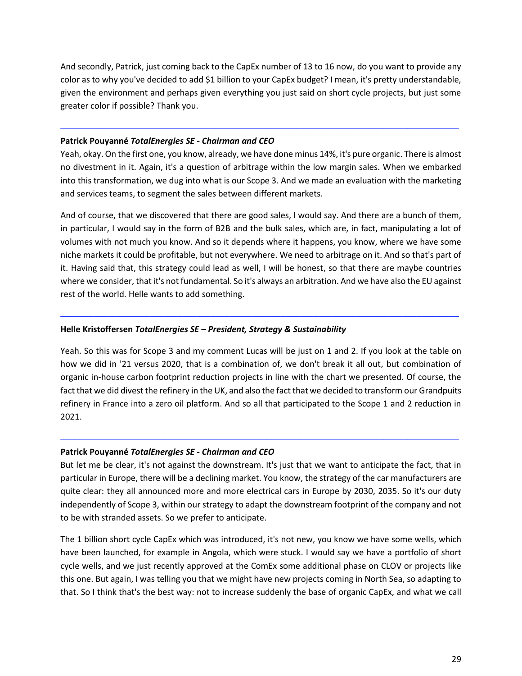And secondly, Patrick, just coming back to the CapEx number of 13 to 16 now, do you want to provide any color as to why you've decided to add \$1 billion to your CapEx budget? I mean, it's pretty understandable, given the environment and perhaps given everything you just said on short cycle projects, but just some greater color if possible? Thank you.

─────────────────────────────────────────────────────────────────────────────────────

### **Patrick Pouyanné** *TotalEnergies SE - Chairman and CEO*

Yeah, okay. On the first one, you know, already, we have done minus 14%, it's pure organic. There is almost no divestment in it. Again, it's a question of arbitrage within the low margin sales. When we embarked into this transformation, we dug into what is our Scope 3. And we made an evaluation with the marketing and services teams, to segment the sales between different markets.

And of course, that we discovered that there are good sales, I would say. And there are a bunch of them, in particular, I would say in the form of B2B and the bulk sales, which are, in fact, manipulating a lot of volumes with not much you know. And so it depends where it happens, you know, where we have some niche markets it could be profitable, but not everywhere. We need to arbitrage on it. And so that's part of it. Having said that, this strategy could lead as well, I will be honest, so that there are maybe countries where we consider, that it's not fundamental. So it's always an arbitration. And we have also the EU against rest of the world. Helle wants to add something.

─────────────────────────────────────────────────────────────────────────────────────

# **Helle Kristoffersen** *TotalEnergies SE – President, Strategy & Sustainability*

Yeah. So this was for Scope 3 and my comment Lucas will be just on 1 and 2. If you look at the table on how we did in '21 versus 2020, that is a combination of, we don't break it all out, but combination of organic in-house carbon footprint reduction projects in line with the chart we presented. Of course, the fact that we did divest the refinery in the UK, and also the fact that we decided to transform our Grandpuits refinery in France into a zero oil platform. And so all that participated to the Scope 1 and 2 reduction in 2021.

### **Patrick Pouyanné** *TotalEnergies SE - Chairman and CEO*

But let me be clear, it's not against the downstream. It's just that we want to anticipate the fact, that in particular in Europe, there will be a declining market. You know, the strategy of the car manufacturers are quite clear: they all announced more and more electrical cars in Europe by 2030, 2035. So it's our duty independently of Scope 3, within our strategy to adapt the downstream footprint of the company and not to be with stranded assets. So we prefer to anticipate.

─────────────────────────────────────────────────────────────────────────────────────

The 1 billion short cycle CapEx which was introduced, it's not new, you know we have some wells, which have been launched, for example in Angola, which were stuck. I would say we have a portfolio of short cycle wells, and we just recently approved at the ComEx some additional phase on CLOV or projects like this one. But again, I was telling you that we might have new projects coming in North Sea, so adapting to that. So I think that's the best way: not to increase suddenly the base of organic CapEx, and what we call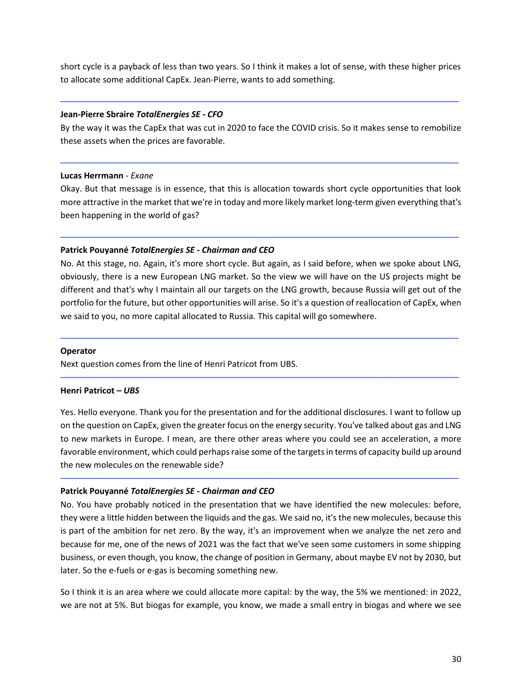short cycle is a payback of less than two years. So I think it makes a lot of sense, with these higher prices to allocate some additional CapEx. Jean-Pierre, wants to add something.

─────────────────────────────────────────────────────────────────────────────────────

#### **Jean-Pierre Sbraire** *TotalEnergies SE - CFO*

By the way it was the CapEx that was cut in 2020 to face the COVID crisis. So it makes sense to remobilize these assets when the prices are favorable.

─────────────────────────────────────────────────────────────────────────────────────

#### **Lucas Herrmann** - *Exane*

Okay. But that message is in essence, that this is allocation towards short cycle opportunities that look more attractive in the market that we're in today and more likely market long-term given everything that's been happening in the world of gas?

─────────────────────────────────────────────────────────────────────────────────────

### **Patrick Pouyanné** *TotalEnergies SE - Chairman and CEO*

No. At this stage, no. Again, it's more short cycle. But again, as I said before, when we spoke about LNG, obviously, there is a new European LNG market. So the view we will have on the US projects might be different and that's why I maintain all our targets on the LNG growth, because Russia will get out of the portfolio for the future, but other opportunities will arise. So it's a question of reallocation of CapEx, when we said to you, no more capital allocated to Russia. This capital will go somewhere.

─────────────────────────────────────────────────────────────────────────────────────

─────────────────────────────────────────────────────────────────────────────────────

### **Operator**

Next question comes from the line of Henri Patricot from UBS.

### **Henri Patricot –** *UBS*

Yes. Hello everyone. Thank you for the presentation and for the additional disclosures. I want to follow up on the question on CapEx, given the greater focus on the energy security. You've talked about gas and LNG to new markets in Europe. I mean, are there other areas where you could see an acceleration, a more favorable environment, which could perhaps raise some of the targets in terms of capacity build up around the new molecules on the renewable side?

─────────────────────────────────────────────────────────────────────────────────────

### **Patrick Pouyanné** *TotalEnergies SE - Chairman and CEO*

No. You have probably noticed in the presentation that we have identified the new molecules: before, they were a little hidden between the liquids and the gas. We said no, it's the new molecules, because this is part of the ambition for net zero. By the way, it's an improvement when we analyze the net zero and because for me, one of the news of 2021 was the fact that we've seen some customers in some shipping business, or even though, you know, the change of position in Germany, about maybe EV not by 2030, but later. So the e-fuels or e-gas is becoming something new.

So I think it is an area where we could allocate more capital: by the way, the 5% we mentioned: in 2022, we are not at 5%. But biogas for example, you know, we made a small entry in biogas and where we see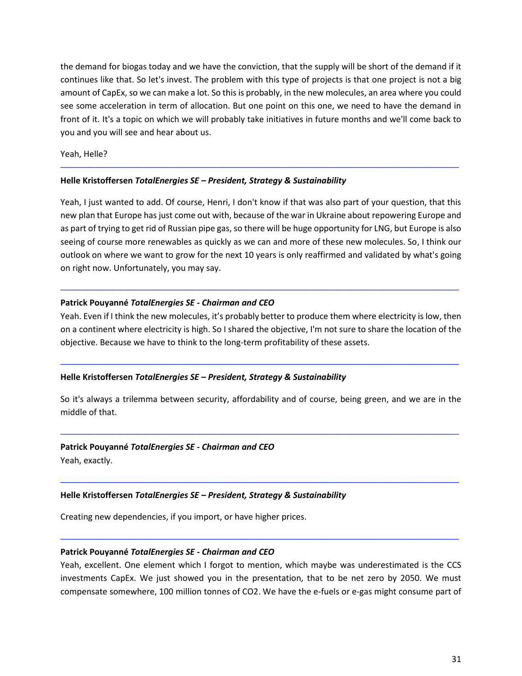the demand for biogas today and we have the conviction, that the supply will be short of the demand if it continues like that. So let's invest. The problem with this type of projects is that one project is not a big amount of CapEx, so we can make a lot. So this is probably, in the new molecules, an area where you could see some acceleration in term of allocation. But one point on this one, we need to have the demand in front of it. It's a topic on which we will probably take initiatives in future months and we'll come back to you and you will see and hear about us.

─────────────────────────────────────────────────────────────────────────────────────

Yeah, Helle?

# **Helle Kristoffersen** *TotalEnergies SE – President, Strategy & Sustainability*

Yeah, I just wanted to add. Of course, Henri, I don't know if that was also part of your question, that this new plan that Europe has just come out with, because of the war in Ukraine about repowering Europe and as part of trying to get rid of Russian pipe gas, so there will be huge opportunity for LNG, but Europe is also seeing of course more renewables as quickly as we can and more of these new molecules. So, I think our outlook on where we want to grow for the next 10 years is only reaffirmed and validated by what's going on right now. Unfortunately, you may say.

### **Patrick Pouyanné** *TotalEnergies SE - Chairman and CEO*

Yeah. Even if I think the new molecules, it's probably better to produce them where electricity is low, then on a continent where electricity is high. So I shared the objective, I'm not sure to share the location of the objective. Because we have to think to the long-term profitability of these assets.

─────────────────────────────────────────────────────────────────────────────────────

─────────────────────────────────────────────────────────────────────────────────────

### **Helle Kristoffersen** *TotalEnergies SE – President, Strategy & Sustainability*

So it's always a trilemma between security, affordability and of course, being green, and we are in the middle of that.

─────────────────────────────────────────────────────────────────────────────────────

─────────────────────────────────────────────────────────────────────────────────────

### **Patrick Pouyanné** *TotalEnergies SE - Chairman and CEO*

Yeah, exactly.

### **Helle Kristoffersen** *TotalEnergies SE – President, Strategy & Sustainability*

Creating new dependencies, if you import, or have higher prices.

### **Patrick Pouyanné** *TotalEnergies SE - Chairman and CEO*

Yeah, excellent. One element which I forgot to mention, which maybe was underestimated is the CCS investments CapEx. We just showed you in the presentation, that to be net zero by 2050. We must compensate somewhere, 100 million tonnes of CO2. We have the e-fuels or e-gas might consume part of

─────────────────────────────────────────────────────────────────────────────────────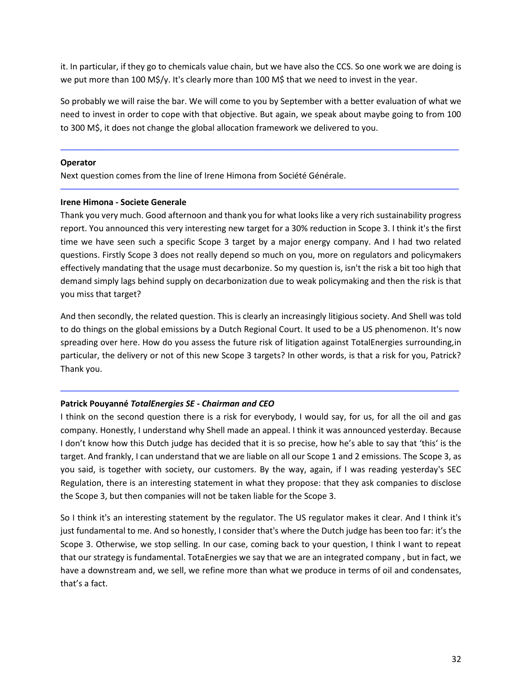it. In particular, if they go to chemicals value chain, but we have also the CCS. So one work we are doing is we put more than 100 M\$/y. It's clearly more than 100 M\$ that we need to invest in the year.

So probably we will raise the bar. We will come to you by September with a better evaluation of what we need to invest in order to cope with that objective. But again, we speak about maybe going to from 100 to 300 M\$, it does not change the global allocation framework we delivered to you.

─────────────────────────────────────────────────────────────────────────────────────

─────────────────────────────────────────────────────────────────────────────────────

#### **Operator**

Next question comes from the line of Irene Himona from Société Générale.

# **Irene Himona - Societe Generale**

Thank you very much. Good afternoon and thank you for what looks like a very rich sustainability progress report. You announced this very interesting new target for a 30% reduction in Scope 3. I think it's the first time we have seen such a specific Scope 3 target by a major energy company. And I had two related questions. Firstly Scope 3 does not really depend so much on you, more on regulators and policymakers effectively mandating that the usage must decarbonize. So my question is, isn't the risk a bit too high that demand simply lags behind supply on decarbonization due to weak policymaking and then the risk is that you miss that target?

And then secondly, the related question. This is clearly an increasingly litigious society. And Shell was told to do things on the global emissions by a Dutch Regional Court. It used to be a US phenomenon. It's now spreading over here. How do you assess the future risk of litigation against TotalEnergies surrounding,in particular, the delivery or not of this new Scope 3 targets? In other words, is that a risk for you, Patrick? Thank you.

─────────────────────────────────────────────────────────────────────────────────────

# **Patrick Pouyanné** *TotalEnergies SE - Chairman and CEO*

I think on the second question there is a risk for everybody, I would say, for us, for all the oil and gas company. Honestly, I understand why Shell made an appeal. I think it was announced yesterday. Because I don't know how this Dutch judge has decided that it is so precise, how he's able to say that 'this' is the target. And frankly, I can understand that we are liable on all our Scope 1 and 2 emissions. The Scope 3, as you said, is together with society, our customers. By the way, again, if I was reading yesterday's SEC Regulation, there is an interesting statement in what they propose: that they ask companies to disclose the Scope 3, but then companies will not be taken liable for the Scope 3.

So I think it's an interesting statement by the regulator. The US regulator makes it clear. And I think it's just fundamental to me. And so honestly, I consider that's where the Dutch judge has been too far: it's the Scope 3. Otherwise, we stop selling. In our case, coming back to your question, I think I want to repeat that our strategy is fundamental. TotaEnergies we say that we are an integrated company , but in fact, we have a downstream and, we sell, we refine more than what we produce in terms of oil and condensates, that's a fact.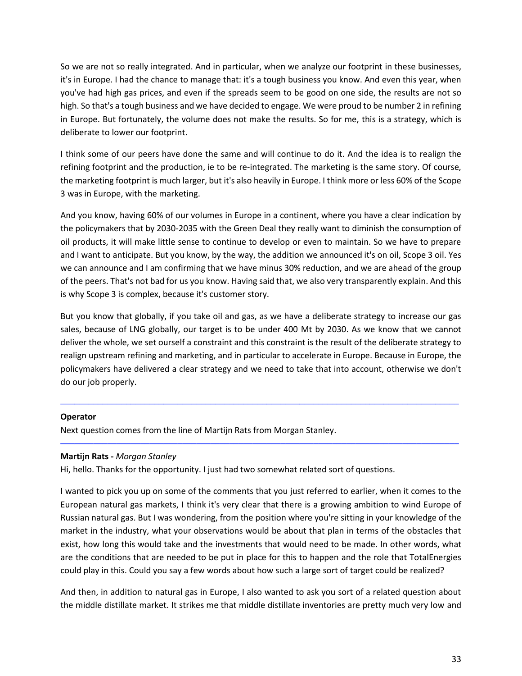So we are not so really integrated. And in particular, when we analyze our footprint in these businesses, it's in Europe. I had the chance to manage that: it's a tough business you know. And even this year, when you've had high gas prices, and even if the spreads seem to be good on one side, the results are not so high. So that's a tough business and we have decided to engage. We were proud to be number 2 in refining in Europe. But fortunately, the volume does not make the results. So for me, this is a strategy, which is deliberate to lower our footprint.

I think some of our peers have done the same and will continue to do it. And the idea is to realign the refining footprint and the production, ie to be re-integrated. The marketing is the same story. Of course, the marketing footprint is much larger, but it's also heavily in Europe. I think more or less 60% of the Scope 3 was in Europe, with the marketing.

And you know, having 60% of our volumes in Europe in a continent, where you have a clear indication by the policymakers that by 2030-2035 with the Green Deal they really want to diminish the consumption of oil products, it will make little sense to continue to develop or even to maintain. So we have to prepare and I want to anticipate. But you know, by the way, the addition we announced it's on oil, Scope 3 oil. Yes we can announce and I am confirming that we have minus 30% reduction, and we are ahead of the group of the peers. That's not bad for us you know. Having said that, we also very transparently explain. And this is why Scope 3 is complex, because it's customer story.

But you know that globally, if you take oil and gas, as we have a deliberate strategy to increase our gas sales, because of LNG globally, our target is to be under 400 Mt by 2030. As we know that we cannot deliver the whole, we set ourself a constraint and this constraint is the result of the deliberate strategy to realign upstream refining and marketing, and in particular to accelerate in Europe. Because in Europe, the policymakers have delivered a clear strategy and we need to take that into account, otherwise we don't do our job properly.

─────────────────────────────────────────────────────────────────────────────────────

─────────────────────────────────────────────────────────────────────────────────────

### **Operator**

Next question comes from the line of Martijn Rats from Morgan Stanley.

# **Martijn Rats -** *Morgan Stanley*

Hi, hello. Thanks for the opportunity. I just had two somewhat related sort of questions.

I wanted to pick you up on some of the comments that you just referred to earlier, when it comes to the European natural gas markets, I think it's very clear that there is a growing ambition to wind Europe of Russian natural gas. But I was wondering, from the position where you're sitting in your knowledge of the market in the industry, what your observations would be about that plan in terms of the obstacles that exist, how long this would take and the investments that would need to be made. In other words, what are the conditions that are needed to be put in place for this to happen and the role that TotalEnergies could play in this. Could you say a few words about how such a large sort of target could be realized?

And then, in addition to natural gas in Europe, I also wanted to ask you sort of a related question about the middle distillate market. It strikes me that middle distillate inventories are pretty much very low and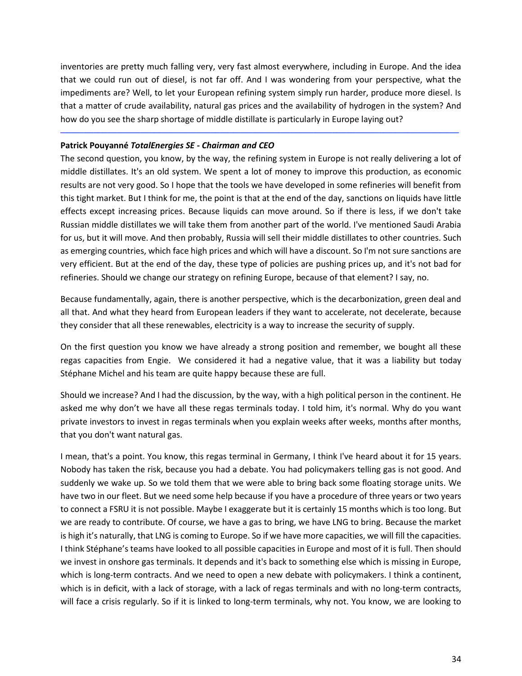inventories are pretty much falling very, very fast almost everywhere, including in Europe. And the idea that we could run out of diesel, is not far off. And I was wondering from your perspective, what the impediments are? Well, to let your European refining system simply run harder, produce more diesel. Is that a matter of crude availability, natural gas prices and the availability of hydrogen in the system? And how do you see the sharp shortage of middle distillate is particularly in Europe laying out?

─────────────────────────────────────────────────────────────────────────────────────

## **Patrick Pouyanné** *TotalEnergies SE - Chairman and CEO*

The second question, you know, by the way, the refining system in Europe is not really delivering a lot of middle distillates. It's an old system. We spent a lot of money to improve this production, as economic results are not very good. So I hope that the tools we have developed in some refineries will benefit from this tight market. But I think for me, the point is that at the end of the day, sanctions on liquids have little effects except increasing prices. Because liquids can move around. So if there is less, if we don't take Russian middle distillates we will take them from another part of the world. I've mentioned Saudi Arabia for us, but it will move. And then probably, Russia will sell their middle distillates to other countries. Such as emerging countries, which face high prices and which will have a discount. So I'm not sure sanctions are very efficient. But at the end of the day, these type of policies are pushing prices up, and it's not bad for refineries. Should we change our strategy on refining Europe, because of that element? I say, no.

Because fundamentally, again, there is another perspective, which is the decarbonization, green deal and all that. And what they heard from European leaders if they want to accelerate, not decelerate, because they consider that all these renewables, electricity is a way to increase the security of supply.

On the first question you know we have already a strong position and remember, we bought all these regas capacities from Engie. We considered it had a negative value, that it was a liability but today Stéphane Michel and his team are quite happy because these are full.

Should we increase? And I had the discussion, by the way, with a high political person in the continent. He asked me why don't we have all these regas terminals today. I told him, it's normal. Why do you want private investors to invest in regas terminals when you explain weeks after weeks, months after months, that you don't want natural gas.

I mean, that's a point. You know, this regas terminal in Germany, I think I've heard about it for 15 years. Nobody has taken the risk, because you had a debate. You had policymakers telling gas is not good. And suddenly we wake up. So we told them that we were able to bring back some floating storage units. We have two in our fleet. But we need some help because if you have a procedure of three years or two years to connect a FSRU it is not possible. Maybe I exaggerate but it is certainly 15 months which is too long. But we are ready to contribute. Of course, we have a gas to bring, we have LNG to bring. Because the market is high it's naturally, that LNG is coming to Europe. So if we have more capacities, we will fill the capacities. I think Stéphane's teams have looked to all possible capacities in Europe and most of it is full. Then should we invest in onshore gas terminals. It depends and it's back to something else which is missing in Europe, which is long-term contracts. And we need to open a new debate with policymakers. I think a continent, which is in deficit, with a lack of storage, with a lack of regas terminals and with no long-term contracts, will face a crisis regularly. So if it is linked to long-term terminals, why not. You know, we are looking to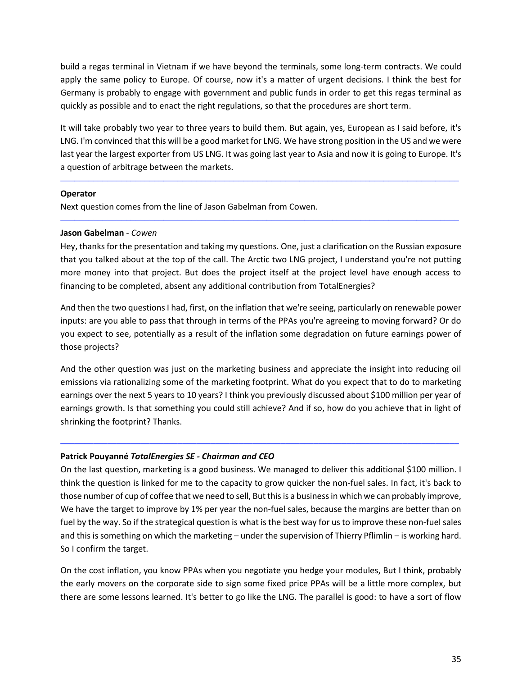build a regas terminal in Vietnam if we have beyond the terminals, some long-term contracts. We could apply the same policy to Europe. Of course, now it's a matter of urgent decisions. I think the best for Germany is probably to engage with government and public funds in order to get this regas terminal as quickly as possible and to enact the right regulations, so that the procedures are short term.

It will take probably two year to three years to build them. But again, yes, European as I said before, it's LNG. I'm convinced that this will be a good market for LNG. We have strong position in the US and we were last year the largest exporter from US LNG. It was going last year to Asia and now it is going to Europe. It's a question of arbitrage between the markets.

─────────────────────────────────────────────────────────────────────────────────────

─────────────────────────────────────────────────────────────────────────────────────

# **Operator**

Next question comes from the line of Jason Gabelman from Cowen.

# **Jason Gabelman** - *Cowen*

Hey, thanks for the presentation and taking my questions. One, just a clarification on the Russian exposure that you talked about at the top of the call. The Arctic two LNG project, I understand you're not putting more money into that project. But does the project itself at the project level have enough access to financing to be completed, absent any additional contribution from TotalEnergies?

And then the two questions I had, first, on the inflation that we're seeing, particularly on renewable power inputs: are you able to pass that through in terms of the PPAs you're agreeing to moving forward? Or do you expect to see, potentially as a result of the inflation some degradation on future earnings power of those projects?

And the other question was just on the marketing business and appreciate the insight into reducing oil emissions via rationalizing some of the marketing footprint. What do you expect that to do to marketing earnings over the next 5 years to 10 years? I think you previously discussed about \$100 million per year of earnings growth. Is that something you could still achieve? And if so, how do you achieve that in light of shrinking the footprint? Thanks.

─────────────────────────────────────────────────────────────────────────────────────

# **Patrick Pouyanné** *TotalEnergies SE - Chairman and CEO*

On the last question, marketing is a good business. We managed to deliver this additional \$100 million. I think the question is linked for me to the capacity to grow quicker the non-fuel sales. In fact, it's back to those number of cup of coffee that we need to sell, But thisis a business in which we can probably improve, We have the target to improve by 1% per year the non-fuel sales, because the margins are better than on fuel by the way. So if the strategical question is what is the best way for us to improve these non-fuel sales and this is something on which the marketing – under the supervision of Thierry Pflimlin – is working hard. So I confirm the target.

On the cost inflation, you know PPAs when you negotiate you hedge your modules, But I think, probably the early movers on the corporate side to sign some fixed price PPAs will be a little more complex, but there are some lessons learned. It's better to go like the LNG. The parallel is good: to have a sort of flow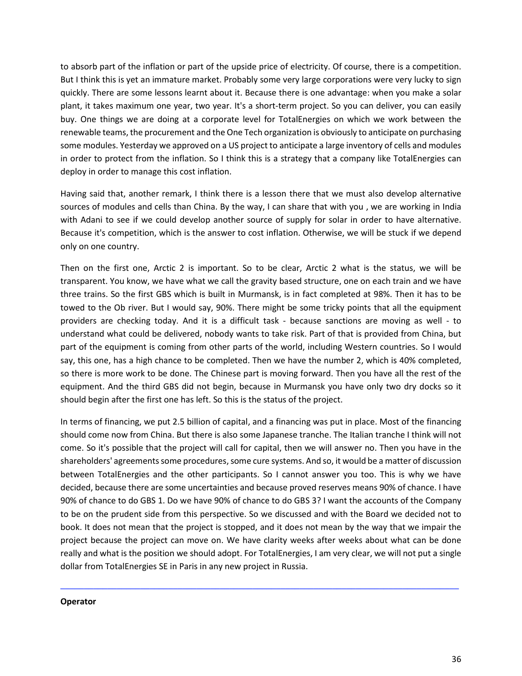to absorb part of the inflation or part of the upside price of electricity. Of course, there is a competition. But I think this is yet an immature market. Probably some very large corporations were very lucky to sign quickly. There are some lessons learnt about it. Because there is one advantage: when you make a solar plant, it takes maximum one year, two year. It's a short-term project. So you can deliver, you can easily buy. One things we are doing at a corporate level for TotalEnergies on which we work between the renewable teams, the procurement and the One Tech organization is obviously to anticipate on purchasing some modules. Yesterday we approved on a US project to anticipate a large inventory of cells and modules in order to protect from the inflation. So I think this is a strategy that a company like TotalEnergies can deploy in order to manage this cost inflation.

Having said that, another remark, I think there is a lesson there that we must also develop alternative sources of modules and cells than China. By the way, I can share that with you , we are working in India with Adani to see if we could develop another source of supply for solar in order to have alternative. Because it's competition, which is the answer to cost inflation. Otherwise, we will be stuck if we depend only on one country.

Then on the first one, Arctic 2 is important. So to be clear, Arctic 2 what is the status, we will be transparent. You know, we have what we call the gravity based structure, one on each train and we have three trains. So the first GBS which is built in Murmansk, is in fact completed at 98%. Then it has to be towed to the Ob river. But I would say, 90%. There might be some tricky points that all the equipment providers are checking today. And it is a difficult task - because sanctions are moving as well - to understand what could be delivered, nobody wants to take risk. Part of that is provided from China, but part of the equipment is coming from other parts of the world, including Western countries. So I would say, this one, has a high chance to be completed. Then we have the number 2, which is 40% completed, so there is more work to be done. The Chinese part is moving forward. Then you have all the rest of the equipment. And the third GBS did not begin, because in Murmansk you have only two dry docks so it should begin after the first one has left. So this is the status of the project.

In terms of financing, we put 2.5 billion of capital, and a financing was put in place. Most of the financing should come now from China. But there is also some Japanese tranche. The Italian tranche I think will not come. So it's possible that the project will call for capital, then we will answer no. Then you have in the shareholders' agreements some procedures, some cure systems. And so, it would be a matter of discussion between TotalEnergies and the other participants. So I cannot answer you too. This is why we have decided, because there are some uncertainties and because proved reserves means 90% of chance. I have 90% of chance to do GBS 1. Do we have 90% of chance to do GBS 3? I want the accounts of the Company to be on the prudent side from this perspective. So we discussed and with the Board we decided not to book. It does not mean that the project is stopped, and it does not mean by the way that we impair the project because the project can move on. We have clarity weeks after weeks about what can be done really and what is the position we should adopt. For TotalEnergies, I am very clear, we will not put a single dollar from TotalEnergies SE in Paris in any new project in Russia.

─────────────────────────────────────────────────────────────────────────────────────

#### **Operator**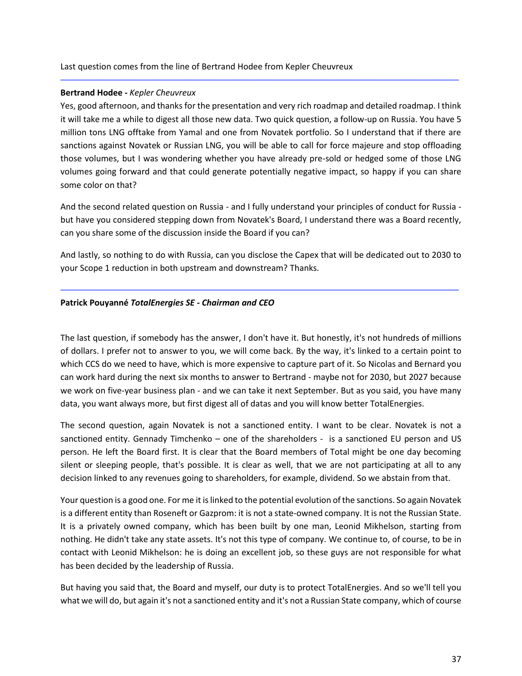### **Bertrand Hodee -** *Kepler Cheuvreux*

Yes, good afternoon, and thanks for the presentation and very rich roadmap and detailed roadmap. I think it will take me a while to digest all those new data. Two quick question, a follow-up on Russia. You have 5 million tons LNG offtake from Yamal and one from Novatek portfolio. So I understand that if there are sanctions against Novatek or Russian LNG, you will be able to call for force majeure and stop offloading those volumes, but I was wondering whether you have already pre-sold or hedged some of those LNG volumes going forward and that could generate potentially negative impact, so happy if you can share some color on that?

─────────────────────────────────────────────────────────────────────────────────────

And the second related question on Russia - and I fully understand your principles of conduct for Russia but have you considered stepping down from Novatek's Board, I understand there was a Board recently, can you share some of the discussion inside the Board if you can?

And lastly, so nothing to do with Russia, can you disclose the Capex that will be dedicated out to 2030 to your Scope 1 reduction in both upstream and downstream? Thanks.

─────────────────────────────────────────────────────────────────────────────────────

#### **Patrick Pouyanné** *TotalEnergies SE - Chairman and CEO*

The last question, if somebody has the answer, I don't have it. But honestly, it's not hundreds of millions of dollars. I prefer not to answer to you, we will come back. By the way, it's linked to a certain point to which CCS do we need to have, which is more expensive to capture part of it. So Nicolas and Bernard you can work hard during the next six months to answer to Bertrand - maybe not for 2030, but 2027 because we work on five-year business plan - and we can take it next September. But as you said, you have many data, you want always more, but first digest all of datas and you will know better TotalEnergies.

The second question, again Novatek is not a sanctioned entity. I want to be clear. Novatek is not a sanctioned entity. Gennady Timchenko – one of the shareholders - is a sanctioned EU person and US person. He left the Board first. It is clear that the Board members of Total might be one day becoming silent or sleeping people, that's possible. It is clear as well, that we are not participating at all to any decision linked to any revenues going to shareholders, for example, dividend. So we abstain from that.

Your question is a good one. For me it islinked to the potential evolution of the sanctions. So again Novatek is a different entity than Roseneft or Gazprom: it is not a state-owned company. It is not the Russian State. It is a privately owned company, which has been built by one man, Leonid Mikhelson, starting from nothing. He didn't take any state assets. It's not this type of company. We continue to, of course, to be in contact with Leonid Mikhelson: he is doing an excellent job, so these guys are not responsible for what has been decided by the leadership of Russia.

But having you said that, the Board and myself, our duty is to protect TotalEnergies. And so we'll tell you what we will do, but again it's not a sanctioned entity and it's not a Russian State company, which of course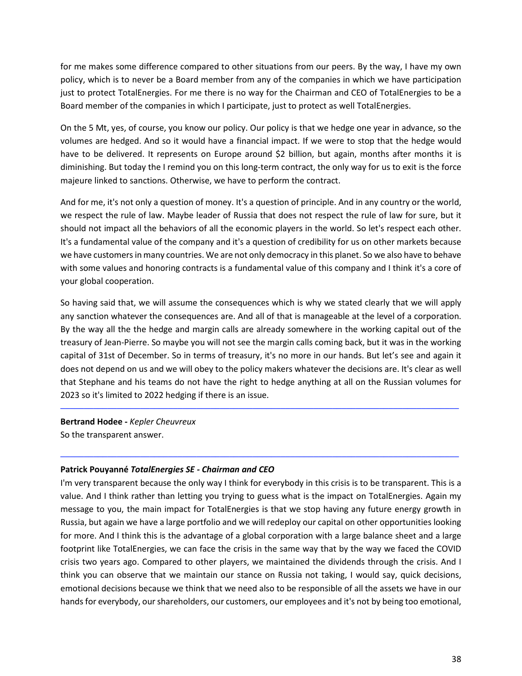for me makes some difference compared to other situations from our peers. By the way, I have my own policy, which is to never be a Board member from any of the companies in which we have participation just to protect TotalEnergies. For me there is no way for the Chairman and CEO of TotalEnergies to be a Board member of the companies in which I participate, just to protect as well TotalEnergies.

On the 5 Mt, yes, of course, you know our policy. Our policy is that we hedge one year in advance, so the volumes are hedged. And so it would have a financial impact. If we were to stop that the hedge would have to be delivered. It represents on Europe around \$2 billion, but again, months after months it is diminishing. But today the I remind you on this long-term contract, the only way for us to exit is the force majeure linked to sanctions. Otherwise, we have to perform the contract.

And for me, it's not only a question of money. It's a question of principle. And in any country or the world, we respect the rule of law. Maybe leader of Russia that does not respect the rule of law for sure, but it should not impact all the behaviors of all the economic players in the world. So let's respect each other. It's a fundamental value of the company and it's a question of credibility for us on other markets because we have customers in many countries. We are not only democracy in this planet. So we also have to behave with some values and honoring contracts is a fundamental value of this company and I think it's a core of your global cooperation.

So having said that, we will assume the consequences which is why we stated clearly that we will apply any sanction whatever the consequences are. And all of that is manageable at the level of a corporation. By the way all the the hedge and margin calls are already somewhere in the working capital out of the treasury of Jean-Pierre. So maybe you will not see the margin calls coming back, but it was in the working capital of 31st of December. So in terms of treasury, it's no more in our hands. But let's see and again it does not depend on us and we will obey to the policy makers whatever the decisions are. It's clear as well that Stephane and his teams do not have the right to hedge anything at all on the Russian volumes for 2023 so it's limited to 2022 hedging if there is an issue.

─────────────────────────────────────────────────────────────────────────────────────

─────────────────────────────────────────────────────────────────────────────────────

**Bertrand Hodee -** *Kepler Cheuvreux* So the transparent answer.

# **Patrick Pouyanné** *TotalEnergies SE - Chairman and CEO*

I'm very transparent because the only way I think for everybody in this crisis is to be transparent. This is a value. And I think rather than letting you trying to guess what is the impact on TotalEnergies. Again my message to you, the main impact for TotalEnergies is that we stop having any future energy growth in Russia, but again we have a large portfolio and we will redeploy our capital on other opportunities looking for more. And I think this is the advantage of a global corporation with a large balance sheet and a large footprint like TotalEnergies, we can face the crisis in the same way that by the way we faced the COVID crisis two years ago. Compared to other players, we maintained the dividends through the crisis. And I think you can observe that we maintain our stance on Russia not taking, I would say, quick decisions, emotional decisions because we think that we need also to be responsible of all the assets we have in our hands for everybody, our shareholders, our customers, our employees and it's not by being too emotional,